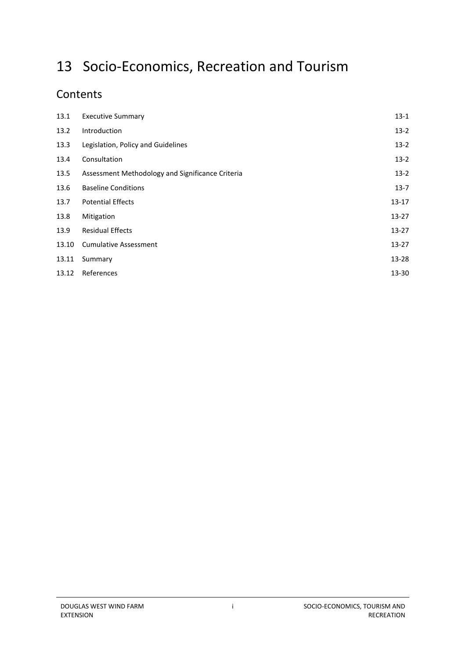# 13 Socio-Economics, Recreation and Tourism

# **Contents**

| 13.1  | <b>Executive Summary</b>                         | $13-1$    |
|-------|--------------------------------------------------|-----------|
| 13.2  | Introduction                                     | $13-2$    |
| 13.3  | Legislation, Policy and Guidelines               | $13-2$    |
| 13.4  | Consultation                                     | $13-2$    |
| 13.5  | Assessment Methodology and Significance Criteria | $13-2$    |
| 13.6  | <b>Baseline Conditions</b>                       | $13 - 7$  |
| 13.7  | <b>Potential Effects</b>                         | $13 - 17$ |
| 13.8  | Mitigation                                       | $13 - 27$ |
| 13.9  | <b>Residual Effects</b>                          | $13 - 27$ |
| 13.10 | <b>Cumulative Assessment</b>                     | $13 - 27$ |
| 13.11 | Summary                                          | 13-28     |
| 13.12 | References                                       | 13-30     |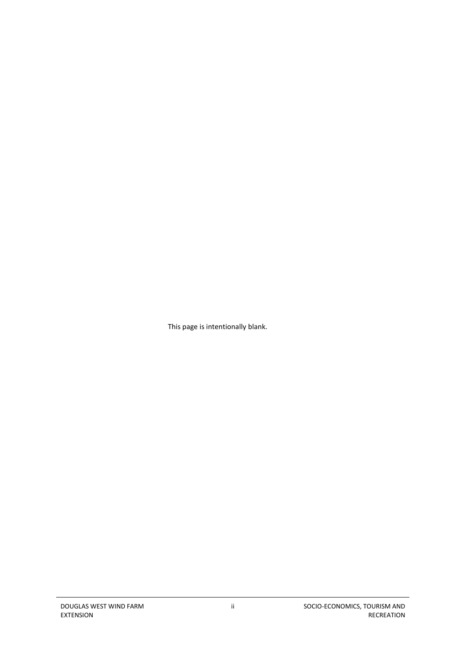This page is intentionally blank.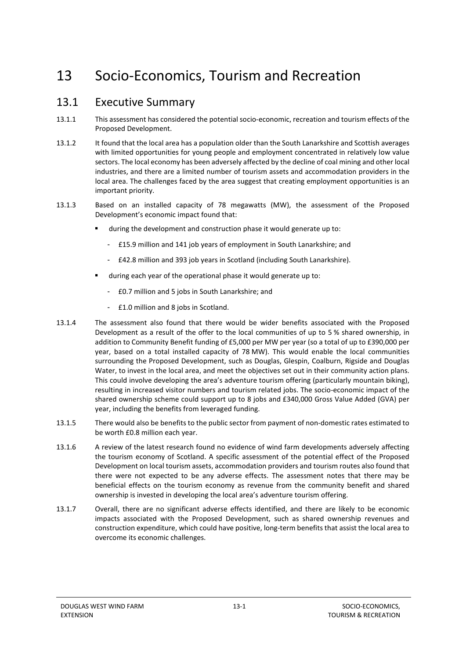# 13 Socio-Economics, Tourism and Recreation

### <span id="page-2-0"></span>13.1 Executive Summary

- 13.1.1 This assessment has considered the potential socio-economic, recreation and tourism effects of the Proposed Development.
- 13.1.2 It found that the local area has a population older than the South Lanarkshire and Scottish averages with limited opportunities for young people and employment concentrated in relatively low value sectors. The local economy has been adversely affected by the decline of coal mining and other local industries, and there are a limited number of tourism assets and accommodation providers in the local area. The challenges faced by the area suggest that creating employment opportunities is an important priority.
- 13.1.3 Based on an installed capacity of 78 megawatts (MW), the assessment of the Proposed Development's economic impact found that:
	- during the development and construction phase it would generate up to:
		- £15.9 million and 141 job years of employment in South Lanarkshire; and
		- £42.8 million and 393 job years in Scotland (including South Lanarkshire).
	- during each year of the operational phase it would generate up to:
		- £0.7 million and 5 jobs in South Lanarkshire; and
		- £1.0 million and 8 jobs in Scotland.
- 13.1.4 The assessment also found that there would be wider benefits associated with the Proposed Development as a result of the offer to the local communities of up to 5 % shared ownership, in addition to Community Benefit funding of £5,000 per MW per year (so a total of up to £390,000 per year, based on a total installed capacity of 78 MW). This would enable the local communities surrounding the Proposed Development, such as Douglas, Glespin, Coalburn, Rigside and Douglas Water, to invest in the local area, and meet the objectives set out in their community action plans. This could involve developing the area's adventure tourism offering (particularly mountain biking), resulting in increased visitor numbers and tourism related jobs. The socio-economic impact of the shared ownership scheme could support up to 8 jobs and £340,000 Gross Value Added (GVA) per year, including the benefits from leveraged funding.
- 13.1.5 There would also be benefits to the public sector from payment of non-domestic rates estimated to be worth £0.8 million each year.
- 13.1.6 A review of the latest research found no evidence of wind farm developments adversely affecting the tourism economy of Scotland. A specific assessment of the potential effect of the Proposed Development on local tourism assets, accommodation providers and tourism routes also found that there were not expected to be any adverse effects. The assessment notes that there may be beneficial effects on the tourism economy as revenue from the community benefit and shared ownership is invested in developing the local area's adventure tourism offering.
- 13.1.7 Overall, there are no significant adverse effects identified, and there are likely to be economic impacts associated with the Proposed Development, such as shared ownership revenues and construction expenditure, which could have positive, long-term benefits that assist the local area to overcome its economic challenges.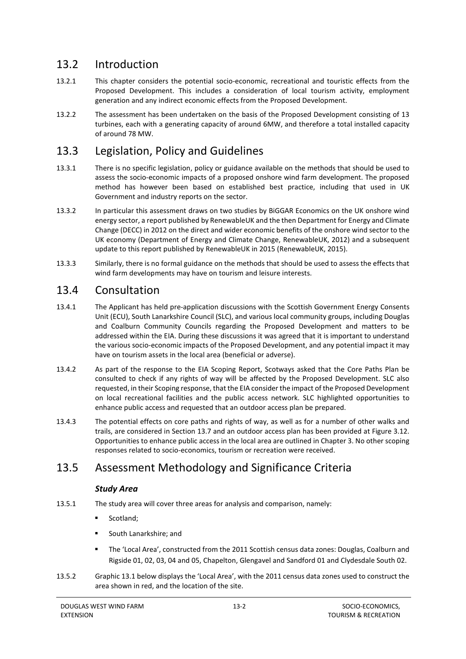## <span id="page-3-0"></span>13.2 Introduction

- 13.2.1 This chapter considers the potential socio-economic, recreational and touristic effects from the Proposed Development. This includes a consideration of local tourism activity, employment generation and any indirect economic effects from the Proposed Development.
- 13.2.2 The assessment has been undertaken on the basis of the Proposed Development consisting of 13 turbines, each with a generating capacity of around 6MW, and therefore a total installed capacity of around 78 MW.

# <span id="page-3-1"></span>13.3 Legislation, Policy and Guidelines

- 13.3.1 There is no specific legislation, policy or guidance available on the methods that should be used to assess the socio-economic impacts of a proposed onshore wind farm development. The proposed method has however been based on established best practice, including that used in UK Government and industry reports on the sector.
- 13.3.2 In particular this assessment draws on two studies by BiGGAR Economics on the UK onshore wind energy sector, a report published by RenewableUK and the then Department for Energy and Climate Change (DECC) in 2012 on the direct and wider economic benefits of the onshore wind sector to the UK economy (Department of Energy and Climate Change, RenewableUK, 2012) and a subsequent update to this report published by RenewableUK in 2015 (RenewableUK, 2015).
- 13.3.3 Similarly, there is no formal guidance on the methods that should be used to assess the effects that wind farm developments may have on tourism and leisure interests.

## <span id="page-3-2"></span>13.4 Consultation

- 13.4.1 The Applicant has held pre-application discussions with the Scottish Government Energy Consents Unit (ECU), South Lanarkshire Council (SLC), and various local community groups, including Douglas and Coalburn Community Councils regarding the Proposed Development and matters to be addressed within the EIA. During these discussions it was agreed that it is important to understand the various socio-economic impacts of the Proposed Development, and any potential impact it may have on tourism assets in the local area (beneficial or adverse).
- 13.4.2 As part of the response to the EIA Scoping Report, Scotways asked that the Core Paths Plan be consulted to check if any rights of way will be affected by the Proposed Development. SLC also requested, in their Scoping response, that the EIA consider the impact of the Proposed Development on local recreational facilities and the public access network. SLC highlighted opportunities to enhance public access and requested that an outdoor access plan be prepared.
- 13.4.3 The potential effects on core paths and rights of way, as well as for a number of other walks and trails, are considered in Section [13.7](#page-18-0) and an outdoor access plan has been provided at Figure 3.12. Opportunities to enhance public access in the local area are outlined in Chapter 3. No other scoping responses related to socio-economics, tourism or recreation were received.

# <span id="page-3-3"></span>13.5 Assessment Methodology and Significance Criteria

### *Study Area*

- 13.5.1 The study area will cover three areas for analysis and comparison, namely:
	- **Scotland**;
	- **South Lanarkshire; and**
	- The 'Local Area', constructed from the 2011 Scottish census data zones: Douglas, Coalburn and Rigside 01, 02, 03, 04 and 05, Chapelton, Glengavel and Sandford 01 and Clydesdale South 02.
- 13.5.2 [Graphic 13.1](#page-4-0) below displays the 'Local Area', with the 2011 census data zones used to construct the area shown in red, and the location of the site.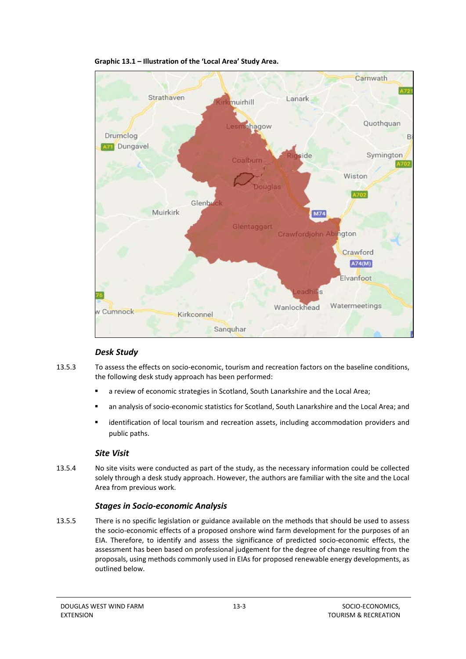<span id="page-4-0"></span>

#### **Graphic 13.1 – Illustration of the 'Local Area' Study Area.**

#### *Desk Study*

- 13.5.3 To assess the effects on socio-economic, tourism and recreation factors on the baseline conditions, the following desk study approach has been performed:
	- a review of economic strategies in Scotland, South Lanarkshire and the Local Area;
	- an analysis of socio-economic statistics for Scotland, South Lanarkshire and the Local Area; and
	- identification of local tourism and recreation assets, including accommodation providers and public paths.

#### *Site Visit*

13.5.4 No site visits were conducted as part of the study, as the necessary information could be collected solely through a desk study approach. However, the authors are familiar with the site and the Local Area from previous work.

#### *Stages in Socio-economic Analysis*

13.5.5 There is no specific legislation or guidance available on the methods that should be used to assess the socio-economic effects of a proposed onshore wind farm development for the purposes of an EIA. Therefore, to identify and assess the significance of predicted socio-economic effects, the assessment has been based on professional judgement for the degree of change resulting from the proposals, using methods commonly used in EIAs for proposed renewable energy developments, as outlined below.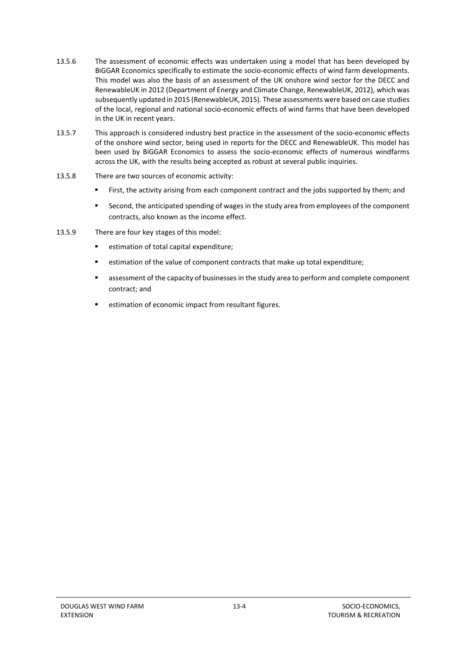- 13.5.6 The assessment of economic effects was undertaken using a model that has been developed by BiGGAR Economics specifically to estimate the socio-economic effects of wind farm developments. This model was also the basis of an assessment of the UK onshore wind sector for the DECC and RenewableUK in 2012 (Department of Energy and Climate Change, RenewableUK, 2012), which was subsequently updated in 2015 (RenewableUK, 2015). These assessments were based on case studies of the local, regional and national socio-economic effects of wind farms that have been developed in the UK in recent years.
- 13.5.7 This approach is considered industry best practice in the assessment of the socio-economic effects of the onshore wind sector, being used in reports for the DECC and RenewableUK. This model has been used by BiGGAR Economics to assess the socio-economic effects of numerous windfarms across the UK, with the results being accepted as robust at several public inquiries.
- 13.5.8 There are two sources of economic activity:
	- **First, the activity arising from each component contract and the jobs supported by them; and**
	- Second, the anticipated spending of wages in the study area from employees of the component contracts, also known as the income effect.
- 13.5.9 There are four key stages of this model:
	- **EXEC** estimation of total capital expenditure;
	- estimation of the value of component contracts that make up total expenditure;
	- **•** assessment of the capacity of businesses in the study area to perform and complete component contract; and
	- **EXECONOMIC EXECONOMIC IMPACT FROM FIGURE 15 INCREDIT EXECONOMIC EXECUTI**ON **FIGURER**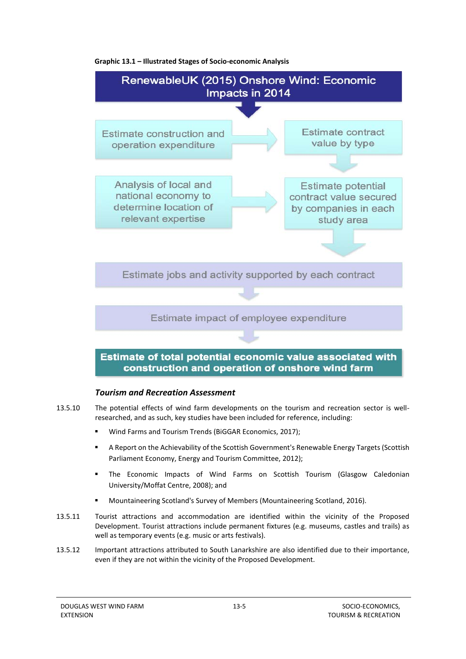

#### **Graphic 13.1 – Illustrated Stages of Socio-economic Analysis**

Estimate of total potential economic value associated with construction and operation of onshore wind farm

#### *Tourism and Recreation Assessment*

- 13.5.10 The potential effects of wind farm developments on the tourism and recreation sector is wellresearched, and as such, key studies have been included for reference, including:
	- Wind Farms and Tourism Trends (BiGGAR Economics, 2017);
	- A Report on the Achievability of the Scottish Government's Renewable Energy Targets (Scottish Parliament Economy, Energy and Tourism Committee, 2012);
	- The Economic Impacts of Wind Farms on Scottish Tourism (Glasgow Caledonian University/Moffat Centre, 2008); and
	- Mountaineering Scotland's Survey of Members (Mountaineering Scotland, 2016).
- 13.5.11 Tourist attractions and accommodation are identified within the vicinity of the Proposed Development. Tourist attractions include permanent fixtures (e.g. museums, castles and trails) as well as temporary events (e.g. music or arts festivals).
- 13.5.12 Important attractions attributed to South Lanarkshire are also identified due to their importance, even if they are not within the vicinity of the Proposed Development.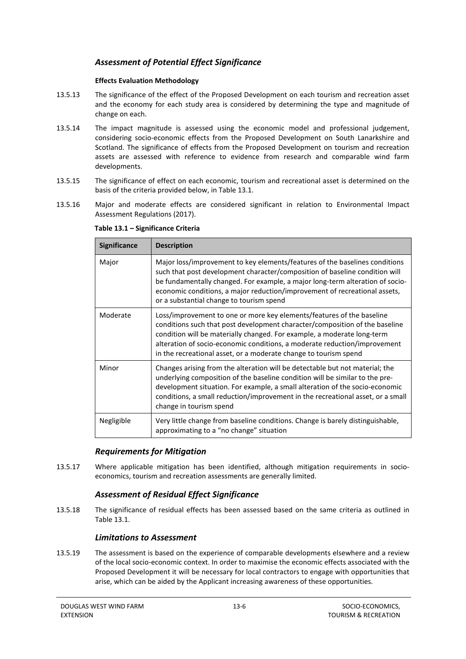### *Assessment of Potential Effect Significance*

#### **Effects Evaluation Methodology**

- 13.5.13 The significance of the effect of the Proposed Development on each tourism and recreation asset and the economy for each study area is considered by determining the type and magnitude of change on each.
- 13.5.14 The impact magnitude is assessed using the economic model and professional judgement, considering socio-economic effects from the Proposed Development on South Lanarkshire and Scotland. The significance of effects from the Proposed Development on tourism and recreation assets are assessed with reference to evidence from research and comparable wind farm developments.
- 13.5.15 The significance of effect on each economic, tourism and recreational asset is determined on the basis of the criteria provided below, in [Table 13.1.](#page-7-0)
- <span id="page-7-0"></span>13.5.16 Major and moderate effects are considered significant in relation to Environmental Impact Assessment Regulations (2017).

| <b>Significance</b> | <b>Description</b>                                                                                                                                                                                                                                                                                                                                                               |
|---------------------|----------------------------------------------------------------------------------------------------------------------------------------------------------------------------------------------------------------------------------------------------------------------------------------------------------------------------------------------------------------------------------|
| Major               | Major loss/improvement to key elements/features of the baselines conditions<br>such that post development character/composition of baseline condition will<br>be fundamentally changed. For example, a major long-term alteration of socio-<br>economic conditions, a major reduction/improvement of recreational assets,<br>or a substantial change to tourism spend            |
| Moderate            | Loss/improvement to one or more key elements/features of the baseline<br>conditions such that post development character/composition of the baseline<br>condition will be materially changed. For example, a moderate long-term<br>alteration of socio-economic conditions, a moderate reduction/improvement<br>in the recreational asset, or a moderate change to tourism spend |
| Minor               | Changes arising from the alteration will be detectable but not material; the<br>underlying composition of the baseline condition will be similar to the pre-<br>development situation. For example, a small alteration of the socio-economic<br>conditions, a small reduction/improvement in the recreational asset, or a small<br>change in tourism spend                       |
| Negligible          | Very little change from baseline conditions. Change is barely distinguishable,<br>approximating to a "no change" situation                                                                                                                                                                                                                                                       |

**Table 13.1 – Significance Criteria**

### *Requirements for Mitigation*

13.5.17 Where applicable mitigation has been identified, although mitigation requirements in socioeconomics, tourism and recreation assessments are generally limited.

### *Assessment of Residual Effect Significance*

13.5.18 The significance of residual effects has been assessed based on the same criteria as outlined in [Table](#page-7-0) 13.1.

#### *Limitations to Assessment*

13.5.19 The assessment is based on the experience of comparable developments elsewhere and a review of the local socio-economic context. In order to maximise the economic effects associated with the Proposed Development it will be necessary for local contractors to engage with opportunities that arise, which can be aided by the Applicant increasing awareness of these opportunities.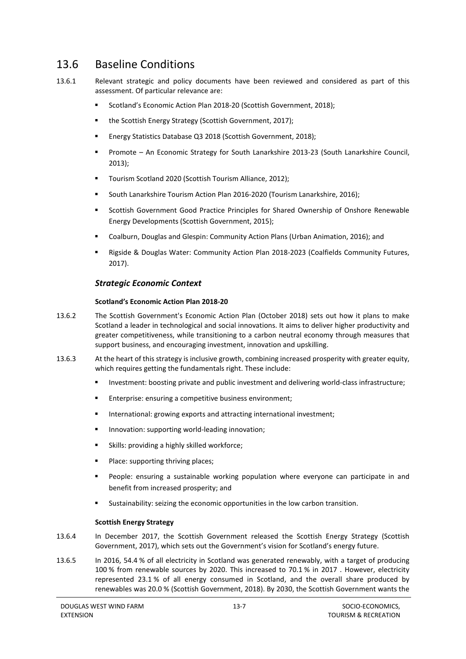# <span id="page-8-0"></span>13.6 Baseline Conditions

- 13.6.1 Relevant strategic and policy documents have been reviewed and considered as part of this assessment. Of particular relevance are:
	- Scotland's Economic Action Plan 2018-20 (Scottish Government, 2018);
	- **the Scottish Energy Strategy (Scottish Government, 2017);**
	- Energy Statistics Database Q3 2018 (Scottish Government, 2018);
	- Promote An Economic Strategy for South Lanarkshire 2013-23 (South Lanarkshire Council, 2013);
	- Tourism Scotland 2020 (Scottish Tourism Alliance, 2012);
	- South Lanarkshire Tourism Action Plan 2016-2020 (Tourism Lanarkshire, 2016);
	- **Scottish Government Good Practice Principles for Shared Ownership of Onshore Renewable** Energy Developments (Scottish Government, 2015);
	- Coalburn, Douglas and Glespin: Community Action Plans (Urban Animation, 2016); and
	- **Rigside & Douglas Water: Community Action Plan 2018-2023 (Coalfields Community Futures,** 2017).

### *Strategic Economic Context*

#### **Scotland's Economic Action Plan 2018-20**

- 13.6.2 The Scottish Government's Economic Action Plan (October 2018) sets out how it plans to make Scotland a leader in technological and social innovations. It aims to deliver higher productivity and greater competitiveness, while transitioning to a carbon neutral economy through measures that support business, and encouraging investment, innovation and upskilling.
- 13.6.3 At the heart of this strategy is inclusive growth, combining increased prosperity with greater equity, which requires getting the fundamentals right. These include:
	- Investment: boosting private and public investment and delivering world-class infrastructure;
	- **Enterprise: ensuring a competitive business environment;**
	- **International: growing exports and attracting international investment;**
	- **Innovation: supporting world-leading innovation;**
	- Skills: providing a highly skilled workforce;
	- Place: supporting thriving places;
	- People: ensuring a sustainable working population where everyone can participate in and benefit from increased prosperity; and
	- Sustainability: seizing the economic opportunities in the low carbon transition.

#### **Scottish Energy Strategy**

- 13.6.4 In December 2017, the Scottish Government released the Scottish Energy Strategy (Scottish Government, 2017), which sets out the Government's vision for Scotland's energy future.
- 13.6.5 In 2016, 54.4 % of all electricity in Scotland was generated renewably, with a target of producing 100 % from renewable sources by 2020. This increased to 70.1 % in 2017 . However, electricity represented 23.1 % of all energy consumed in Scotland, and the overall share produced by renewables was 20.0 % (Scottish Government, 2018). By 2030, the Scottish Government wants the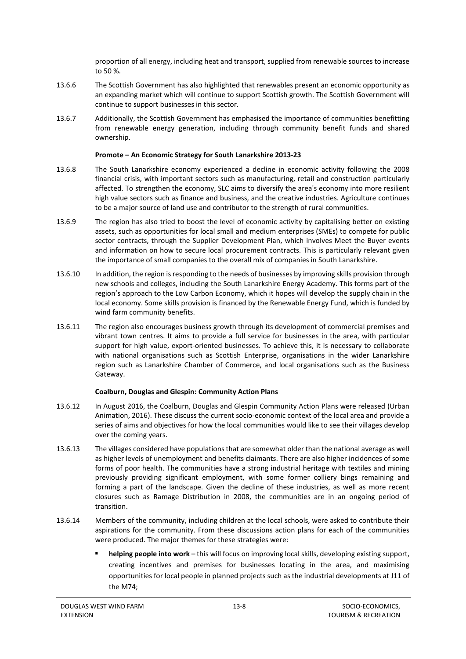proportion of all energy, including heat and transport, supplied from renewable sources to increase to 50 %.

- 13.6.6 The Scottish Government has also highlighted that renewables present an economic opportunity as an expanding market which will continue to support Scottish growth. The Scottish Government will continue to support businesses in this sector.
- 13.6.7 Additionally, the Scottish Government has emphasised the importance of communities benefitting from renewable energy generation, including through community benefit funds and shared ownership.

#### **Promote – An Economic Strategy for South Lanarkshire 2013-23**

- 13.6.8 The South Lanarkshire economy experienced a decline in economic activity following the 2008 financial crisis, with important sectors such as manufacturing, retail and construction particularly affected. To strengthen the economy, SLC aims to diversify the area's economy into more resilient high value sectors such as finance and business, and the creative industries. Agriculture continues to be a major source of land use and contributor to the strength of rural communities.
- 13.6.9 The region has also tried to boost the level of economic activity by capitalising better on existing assets, such as opportunities for local small and medium enterprises (SMEs) to compete for public sector contracts, through the Supplier Development Plan, which involves Meet the Buyer events and information on how to secure local procurement contracts. This is particularly relevant given the importance of small companies to the overall mix of companies in South Lanarkshire.
- 13.6.10 In addition, the region is responding to the needs of businesses by improving skills provision through new schools and colleges, including the South Lanarkshire Energy Academy. This forms part of the region's approach to the Low Carbon Economy, which it hopes will develop the supply chain in the local economy. Some skills provision is financed by the Renewable Energy Fund, which is funded by wind farm community benefits.
- 13.6.11 The region also encourages business growth through its development of commercial premises and vibrant town centres. It aims to provide a full service for businesses in the area, with particular support for high value, export-oriented businesses. To achieve this, it is necessary to collaborate with national organisations such as Scottish Enterprise, organisations in the wider Lanarkshire region such as Lanarkshire Chamber of Commerce, and local organisations such as the Business Gateway.

#### **Coalburn, Douglas and Glespin: Community Action Plans**

- 13.6.12 In August 2016, the Coalburn, Douglas and Glespin Community Action Plans were released (Urban Animation, 2016). These discuss the current socio-economic context of the local area and provide a series of aims and objectives for how the local communities would like to see their villages develop over the coming years.
- 13.6.13 The villages considered have populations that are somewhat older than the national average as well as higher levels of unemployment and benefits claimants. There are also higher incidences of some forms of poor health. The communities have a strong industrial heritage with textiles and mining previously providing significant employment, with some former colliery bings remaining and forming a part of the landscape. Given the decline of these industries, as well as more recent closures such as Ramage Distribution in 2008, the communities are in an ongoing period of transition.
- 13.6.14 Members of the community, including children at the local schools, were asked to contribute their aspirations for the community. From these discussions action plans for each of the communities were produced. The major themes for these strategies were:
	- **helping people into work** this will focus on improving local skills, developing existing support, creating incentives and premises for businesses locating in the area, and maximising opportunities for local people in planned projects such as the industrial developments at J11 of the M74;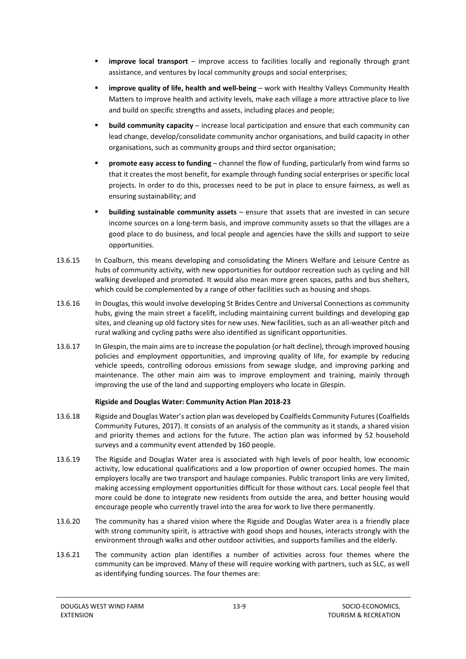- **improve local transport** improve access to facilities locally and regionally through grant assistance, and ventures by local community groups and social enterprises;
- **improve quality of life, health and well-being** work with Healthy Valleys Community Health Matters to improve health and activity levels, make each village a more attractive place to live and build on specific strengths and assets, including places and people;
- **build community capacity** increase local participation and ensure that each community can lead change, develop/consolidate community anchor organisations, and build capacity in other organisations, such as community groups and third sector organisation;
- **Promote easy access to funding** channel the flow of funding, particularly from wind farms so that it creates the most benefit, for example through funding social enterprises or specific local projects. In order to do this, processes need to be put in place to ensure fairness, as well as ensuring sustainability; and
- **building sustainable community assets** ensure that assets that are invested in can secure income sources on a long-term basis, and improve community assets so that the villages are a good place to do business, and local people and agencies have the skills and support to seize opportunities.
- 13.6.15 In Coalburn, this means developing and consolidating the Miners Welfare and Leisure Centre as hubs of community activity, with new opportunities for outdoor recreation such as cycling and hill walking developed and promoted. It would also mean more green spaces, paths and bus shelters, which could be complemented by a range of other facilities such as housing and shops.
- 13.6.16 In Douglas, this would involve developing St Brides Centre and Universal Connections as community hubs, giving the main street a facelift, including maintaining current buildings and developing gap sites, and cleaning up old factory sites for new uses. New facilities, such as an all-weather pitch and rural walking and cycling paths were also identified as significant opportunities.
- 13.6.17 In Glespin, the main aims are to increase the population (or halt decline), through improved housing policies and employment opportunities, and improving quality of life, for example by reducing vehicle speeds, controlling odorous emissions from sewage sludge, and improving parking and maintenance. The other main aim was to improve employment and training, mainly through improving the use of the land and supporting employers who locate in Glespin.

#### **Rigside and Douglas Water: Community Action Plan 2018-23**

- 13.6.18 Rigside and Douglas Water's action plan was developed by Coalfields Community Futures (Coalfields Community Futures, 2017). It consists of an analysis of the community as it stands, a shared vision and priority themes and actions for the future. The action plan was informed by 52 household surveys and a community event attended by 160 people.
- 13.6.19 The Rigside and Douglas Water area is associated with high levels of poor health, low economic activity, low educational qualifications and a low proportion of owner occupied homes. The main employers locally are two transport and haulage companies. Public transport links are very limited, making accessing employment opportunities difficult for those without cars. Local people feel that more could be done to integrate new residents from outside the area, and better housing would encourage people who currently travel into the area for work to live there permanently.
- 13.6.20 The community has a shared vision where the Rigside and Douglas Water area is a friendly place with strong community spirit, is attractive with good shops and houses, interacts strongly with the environment through walks and other outdoor activities, and supports families and the elderly.
- 13.6.21 The community action plan identifies a number of activities across four themes where the community can be improved. Many of these will require working with partners, such as SLC, as well as identifying funding sources. The four themes are: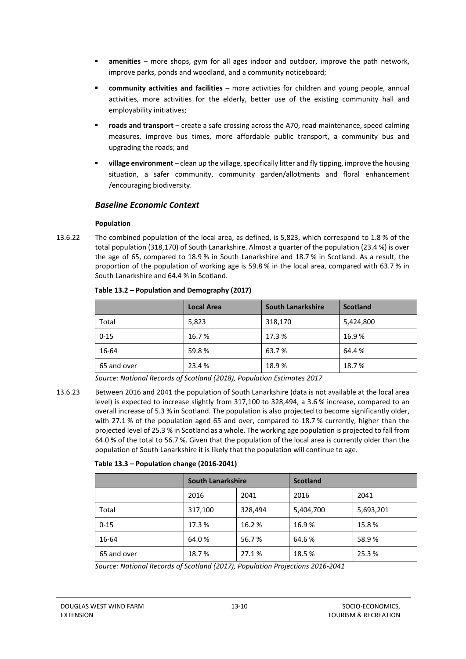- **amenities** more shops, gym for all ages indoor and outdoor, improve the path network, improve parks, ponds and woodland, and a community noticeboard;
- **community activities and facilities** more activities for children and young people, annual activities, more activities for the elderly, better use of the existing community hall and employability initiatives;
- **roads and transport** create a safe crossing across the A70, road maintenance, speed calming measures, improve bus times, more affordable public transport, a community bus and upgrading the roads; and
- **village environment** clean up the village, specifically litter and fly tipping, improve the housing situation, a safer community, community garden/allotments and floral enhancement /encouraging biodiversity.

### *Baseline Economic Context*

#### **Population**

13.6.22 The combined population of the local area, as defined, is 5,823, which correspond to 1.8 % of the total population (318,170) of South Lanarkshire. Almost a quarter of the population (23.4 %) is over the age of 65, compared to 18.9 % in South Lanarkshire and 18.7 % in Scotland. As a result, the proportion of the population of working age is 59.8 % in the local area, compared with 63.7 % in South Lanarkshire and 64.4 % in Scotland.

| <b>Table 15.2 - Population and Demography (2017)</b> |  |  |  |  |
|------------------------------------------------------|--|--|--|--|
|                                                      |  |  |  |  |

**Table 13.2 – Population and Demography (2017)**

|             | <b>Local Area</b> | <b>South Lanarkshire</b> | <b>Scotland</b> |
|-------------|-------------------|--------------------------|-----------------|
| Total       | 5,823             | 318,170                  | 5,424,800       |
| $0 - 15$    | 16.7%             | 17.3 %                   | 16.9%           |
| 16-64       | 59.8%             | 63.7%                    | 64.4 %          |
| 65 and over | 23.4%             | 18.9%                    | 18.7%           |

*Source: National Records of Scotland (2018), Population Estimates 2017*

13.6.23 Between 2016 and 2041 the population of South Lanarkshire (data is not available at the local area level) is expected to increase slightly from 317,100 to 328,494, a 3.6 % increase, compared to an overall increase of 5.3 % in Scotland. The population is also projected to become significantly older, with 27.1 % of the population aged 65 and over, compared to 18.7 % currently, higher than the projected level of 25.3 % in Scotland as a whole. The working age population is projected to fall from 64.0 % of the total to 56.7 %. Given that the population of the local area is currently older than the population of South Lanarkshire it is likely that the population will continue to age.

#### **Table 13.3 – Population change (2016-2041)**

|             | <b>South Lanarkshire</b> |         | <b>Scotland</b> |           |
|-------------|--------------------------|---------|-----------------|-----------|
|             | 2016                     | 2041    | 2016            | 2041      |
| Total       | 317,100                  | 328,494 | 5,404,700       | 5,693,201 |
| $0 - 15$    | 17.3 %                   | 16.2 %  | 16.9%           | 15.8%     |
| 16-64       | 64.0%                    | 56.7%   | 64.6 %          | 58.9%     |
| 65 and over | 18.7%                    | 27.1%   | 18.5 %          | 25.3 %    |

*Source: National Records of Scotland (2017), Population Projections 2016-2041*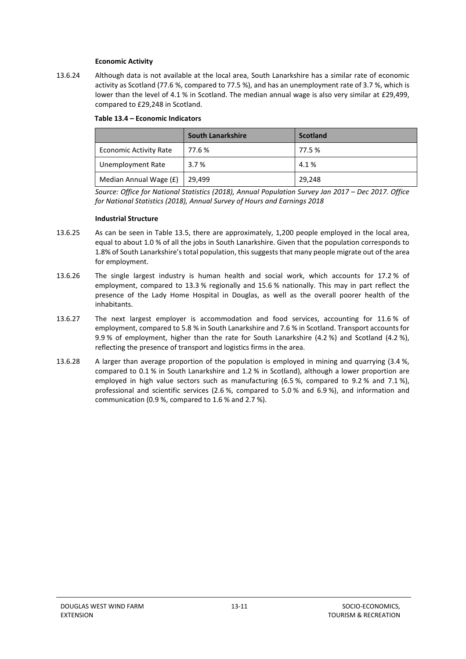#### **Economic Activity**

13.6.24 Although data is not available at the local area, South Lanarkshire has a similar rate of economic activity as Scotland (77.6 %, compared to 77.5 %), and has an unemployment rate of 3.7 %, which is lower than the level of 4.1 % in Scotland. The median annual wage is also very similar at £29,499, compared to £29,248 in Scotland.

| Table 13.4 – Economic Indicators |  |
|----------------------------------|--|
|                                  |  |

|                               | <b>South Lanarkshire</b> | <b>Scotland</b> |
|-------------------------------|--------------------------|-----------------|
| <b>Economic Activity Rate</b> | 77.6%                    | 77.5 %          |
| Unemployment Rate             | 3.7%                     | 4.1%            |
| Median Annual Wage (£)        | 29.499                   | 29.248          |

*Source: Office for National Statistics (2018), Annual Population Survey Jan 2017 – Dec 2017. Office for National Statistics (2018), Annual Survey of Hours and Earnings 2018*

#### **Industrial Structure**

- 13.6.25 As can be seen in [Table 13.5,](#page-13-0) there are approximately, 1,200 people employed in the local area, equal to about 1.0 % of all the jobs in South Lanarkshire. Given that the population corresponds to 1.8% of South Lanarkshire's total population, this suggests that many people migrate out of the area for employment.
- 13.6.26 The single largest industry is human health and social work, which accounts for 17.2 % of employment, compared to 13.3 % regionally and 15.6 % nationally. This may in part reflect the presence of the Lady Home Hospital in Douglas, as well as the overall poorer health of the inhabitants.
- 13.6.27 The next largest employer is accommodation and food services, accounting for 11.6 % of employment, compared to 5.8 % in South Lanarkshire and 7.6 % in Scotland. Transport accounts for 9.9 % of employment, higher than the rate for South Lanarkshire (4.2 %) and Scotland (4.2 %), reflecting the presence of transport and logistics firms in the area.
- 13.6.28 A larger than average proportion of the population is employed in mining and quarrying (3.4 %, compared to 0.1 % in South Lanarkshire and 1.2 % in Scotland), although a lower proportion are employed in high value sectors such as manufacturing (6.5 %, compared to 9.2 % and 7.1 %), professional and scientific services (2.6 %, compared to 5.0 % and 6.9 %), and information and communication (0.9 %, compared to 1.6 % and 2.7 %).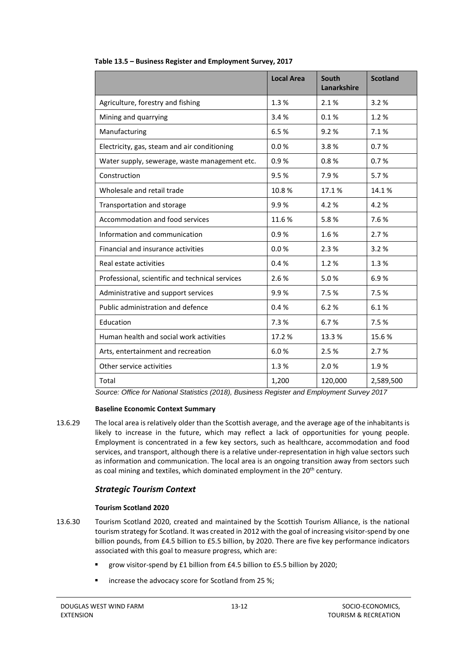|                                                 | <b>Local Area</b> | <b>South</b><br>Lanarkshire | <b>Scotland</b> |
|-------------------------------------------------|-------------------|-----------------------------|-----------------|
| Agriculture, forestry and fishing               | 1.3%              | 2.1%                        | 3.2%            |
| Mining and quarrying                            | 3.4%              | 0.1%                        | 1.2%            |
| Manufacturing                                   | 6.5%              | 9.2%                        | 7.1%            |
| Electricity, gas, steam and air conditioning    | 0.0%              | 3.8%                        | 0.7%            |
| Water supply, sewerage, waste management etc.   | 0.9%              | 0.8%                        | 0.7%            |
| Construction                                    | 9.5%              | 7.9%                        | 5.7%            |
| Wholesale and retail trade                      | 10.8%             | 17.1%                       | 14.1%           |
| Transportation and storage                      | 9.9%              | 4.2%                        | 4.2%            |
| Accommodation and food services                 | 11.6%             | 5.8%                        | 7.6%            |
| Information and communication                   | 0.9%              | 1.6%                        | 2.7%            |
| Financial and insurance activities              | 0.0%              | 2.3%                        | 3.2%            |
| Real estate activities                          | 0.4%              | 1.2%                        | 1.3%            |
| Professional, scientific and technical services | 2.6%              | 5.0%                        | 6.9%            |
| Administrative and support services             | 9.9%              | 7.5%                        | 7.5 %           |
| Public administration and defence               | 0.4%              | 6.2%                        | 6.1%            |
| Education                                       | 7.3%              | 6.7%                        | 7.5%            |
| Human health and social work activities         | 17.2%             | 13.3 %                      | 15.6%           |
| Arts, entertainment and recreation              | 6.0%              | 2.5%                        | 2.7%            |
| Other service activities                        | 1.3%              | 2.0%                        | 1.9%            |
| Total                                           | 1,200             | 120,000                     | 2,589,500       |

#### <span id="page-13-0"></span>**Table 13.5 – Business Register and Employment Survey, 2017**

*Source: Office for National Statistics (2018), Business Register and Employment Survey 2017*

#### **Baseline Economic Context Summary**

13.6.29 The local area is relatively older than the Scottish average, and the average age of the inhabitants is likely to increase in the future, which may reflect a lack of opportunities for young people. Employment is concentrated in a few key sectors, such as healthcare, accommodation and food services, and transport, although there is a relative under-representation in high value sectors such as information and communication. The local area is an ongoing transition away from sectors such as coal mining and textiles, which dominated employment in the 20<sup>th</sup> century.

#### *Strategic Tourism Context*

#### **Tourism Scotland 2020**

- 13.6.30 Tourism Scotland 2020, created and maintained by the Scottish Tourism Alliance, is the national tourism strategy for Scotland. It was created in 2012 with the goal of increasing visitor-spend by one billion pounds, from £4.5 billion to £5.5 billion, by 2020. There are five key performance indicators associated with this goal to measure progress, which are:
	- grow visitor-spend by £1 billion from £4.5 billion to £5.5 billion by 2020;
	- **EXEC** increase the advocacy score for Scotland from 25 %;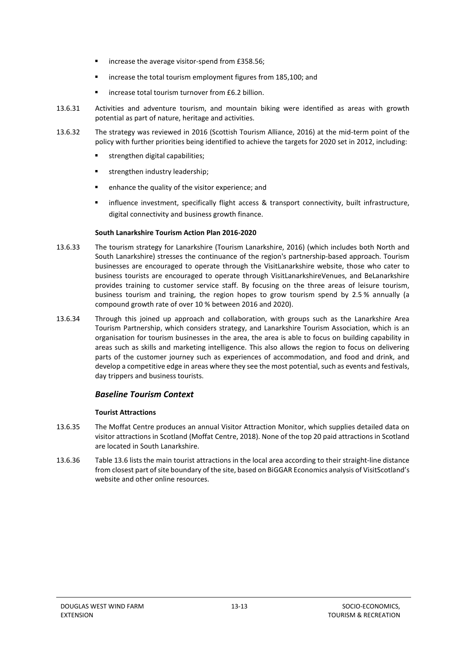- increase the average visitor-spend from £358.56;
- increase the total tourism employment figures from 185,100; and
- increase total tourism turnover from £6.2 billion.
- 13.6.31 Activities and adventure tourism, and mountain biking were identified as areas with growth potential as part of nature, heritage and activities.
- 13.6.32 The strategy was reviewed in 2016 (Scottish Tourism Alliance, 2016) at the mid-term point of the policy with further priorities being identified to achieve the targets for 2020 set in 2012, including:
	- **strengthen digital capabilities;**
	- strengthen industry leadership;
	- **EXE** enhance the quality of the visitor experience; and
	- influence investment, specifically flight access & transport connectivity, built infrastructure, digital connectivity and business growth finance.

#### **South Lanarkshire Tourism Action Plan 2016-2020**

- 13.6.33 The tourism strategy for Lanarkshire (Tourism Lanarkshire, 2016) (which includes both North and South Lanarkshire) stresses the continuance of the region's partnership-based approach. Tourism businesses are encouraged to operate through the VisitLanarkshire website, those who cater to business tourists are encouraged to operate through VisitLanarkshireVenues, and BeLanarkshire provides training to customer service staff. By focusing on the three areas of leisure tourism, business tourism and training, the region hopes to grow tourism spend by 2.5 % annually (a compound growth rate of over 10 % between 2016 and 2020).
- 13.6.34 Through this joined up approach and collaboration, with groups such as the Lanarkshire Area Tourism Partnership, which considers strategy, and Lanarkshire Tourism Association, which is an organisation for tourism businesses in the area, the area is able to focus on building capability in areas such as skills and marketing intelligence. This also allows the region to focus on delivering parts of the customer journey such as experiences of accommodation, and food and drink, and develop a competitive edge in areas where they see the most potential, such as events and festivals, day trippers and business tourists.

#### *Baseline Tourism Context*

#### **Tourist Attractions**

- 13.6.35 The Moffat Centre produces an annual Visitor Attraction Monitor, which supplies detailed data on visitor attractions in Scotland (Moffat Centre, 2018). None of the top 20 paid attractions in Scotland are located in South Lanarkshire.
- 13.6.36 [Table 13.6](#page-15-0) lists the main tourist attractions in the local area according to their straight-line distance from closest part of site boundary of the site, based on BiGGAR Economics analysis of VisitScotland's website and other online resources.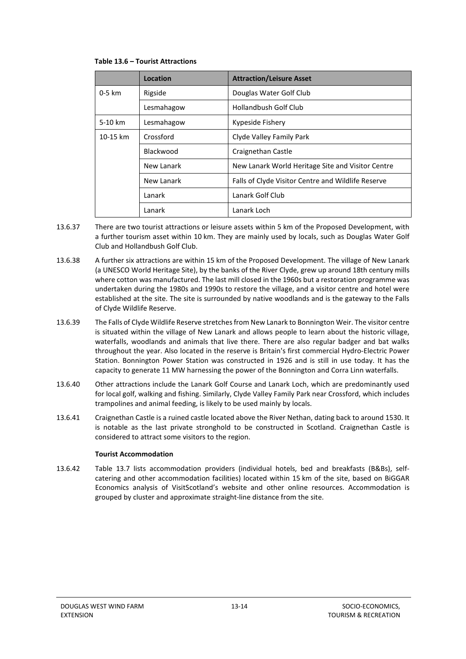#### <span id="page-15-0"></span>**Table 13.6 – Tourist Attractions**

|                                          | Location                           | <b>Attraction/Leisure Asset</b>                    |  |
|------------------------------------------|------------------------------------|----------------------------------------------------|--|
| $0-5$ km                                 | Douglas Water Golf Club<br>Rigside |                                                    |  |
|                                          | Lesmahagow                         | <b>Hollandbush Golf Club</b>                       |  |
| $5-10$ km                                | Lesmahagow                         | Kypeside Fishery                                   |  |
| 10-15 km                                 | Crossford                          | Clyde Valley Family Park                           |  |
|                                          | Blackwood                          | Craignethan Castle                                 |  |
|                                          | New Lanark                         | New Lanark World Heritage Site and Visitor Centre  |  |
| New Lanark<br>Lanark Golf Club<br>Lanark |                                    | Falls of Clyde Visitor Centre and Wildlife Reserve |  |
|                                          |                                    |                                                    |  |
|                                          | Lanark                             | Lanark Loch                                        |  |

- 13.6.37 There are two tourist attractions or leisure assets within 5 km of the Proposed Development, with a further tourism asset within 10 km. They are mainly used by locals, such as Douglas Water Golf Club and Hollandbush Golf Club.
- 13.6.38 A further six attractions are within 15 km of the Proposed Development. The village of New Lanark (a UNESCO World Heritage Site), by the banks of the River Clyde, grew up around 18th century mills where cotton was manufactured. The last mill closed in the 1960s but a restoration programme was undertaken during the 1980s and 1990s to restore the village, and a visitor centre and hotel were established at the site. The site is surrounded by native woodlands and is the gateway to the Falls of Clyde Wildlife Reserve.
- 13.6.39 The Falls of Clyde Wildlife Reserve stretches from New Lanark to Bonnington Weir. The visitor centre is situated within the village of New Lanark and allows people to learn about the historic village, waterfalls, woodlands and animals that live there. There are also regular badger and bat walks throughout the year. Also located in the reserve is Britain's first commercial Hydro-Electric Power Station. Bonnington Power Station was constructed in 1926 and is still in use today. It has the capacity to generate 11 MW harnessing the power of the Bonnington and Corra Linn waterfalls.
- 13.6.40 Other attractions include the Lanark Golf Course and Lanark Loch, which are predominantly used for local golf, walking and fishing. Similarly, Clyde Valley Family Park near Crossford, which includes trampolines and animal feeding, is likely to be used mainly by locals.
- 13.6.41 Craignethan Castle is a ruined castle located above the River Nethan, dating back to around 1530. It is notable as the last private stronghold to be constructed in Scotland. Craignethan Castle is considered to attract some visitors to the region.

#### **Tourist Accommodation**

13.6.42 [Table 13.7](#page-16-0) lists accommodation providers (individual hotels, bed and breakfasts (B&Bs), selfcatering and other accommodation facilities) located within 15 km of the site, based on BiGGAR Economics analysis of VisitScotland's website and other online resources. Accommodation is grouped by cluster and approximate straight-line distance from the site.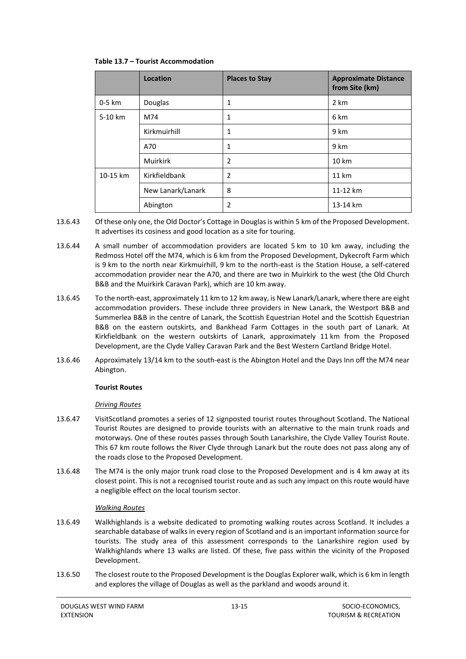#### <span id="page-16-0"></span>**Table 13.7 – Tourist Accommodation**

|          | <b>Location</b>   | <b>Places to Stay</b> | <b>Approximate Distance</b><br>from Site (km) |
|----------|-------------------|-----------------------|-----------------------------------------------|
| $0-5$ km | Douglas           | 1                     | 2 km                                          |
| 5-10 km  | M74               | 1                     | 6 km                                          |
|          | Kirkmuirhill      | 1                     | 9 km                                          |
|          | A70               | $\mathbf{1}$          | 9 km                                          |
|          | Muirkirk          | 2                     | 10 km                                         |
| 10-15 km | Kirkfieldbank     | $\overline{2}$        | 11 km                                         |
|          | New Lanark/Lanark | 8                     | 11-12 km                                      |
|          | Abington          | 2                     | 13-14 km                                      |

- 13.6.43 Of these only one, the Old Doctor's Cottage in Douglas is within 5 km of the Proposed Development. It advertises its cosiness and good location as a site for touring.
- 13.6.44 A small number of accommodation providers are located 5 km to 10 km away, including the Redmoss Hotel off the M74, which is 6 km from the Proposed Development, Dykecroft Farm which is 9 km to the north near Kirkmuirhill, 9 km to the north-east is the Station House, a self-catered accommodation provider near the A70, and there are two in Muirkirk to the west (the Old Church B&B and the Muirkirk Caravan Park), which are 10 km away.
- 13.6.45 To the north-east, approximately 11 km to 12 km away, is New Lanark/Lanark, where there are eight accommodation providers. These include three providers in New Lanark, the Westport B&B and Summerlea B&B in the centre of Lanark, the Scottish Equestrian Hotel and the Scottish Equestrian B&B on the eastern outskirts, and Bankhead Farm Cottages in the south part of Lanark. At Kirkfieldbank on the western outskirts of Lanark, approximately 11 km from the Proposed Development, are the Clyde Valley Caravan Park and the Best Western Cartland Bridge Hotel.
- 13.6.46 Approximately 13/14 km to the south-east is the Abington Hotel and the Days Inn off the M74 near Abington.

#### **Tourist Routes**

#### *Driving Routes*

- 13.6.47 VisitScotland promotes a series of 12 signposted tourist routes throughout Scotland. The National Tourist Routes are designed to provide tourists with an alternative to the main trunk roads and motorways. One of these routes passes through South Lanarkshire, the Clyde Valley Tourist Route. This 67 km route follows the River Clyde through Lanark but the route does not pass along any of the roads close to the Proposed Development.
- 13.6.48 The M74 is the only major trunk road close to the Proposed Development and is 4 km away at its closest point. This is not a recognised tourist route and as such any impact on this route would have a negligible effect on the local tourism sector.

#### *Walking Routes*

- 13.6.49 Walkhighlands is a website dedicated to promoting walking routes across Scotland. It includes a searchable database of walks in every region of Scotland and is an important information source for tourists. The study area of this assessment corresponds to the Lanarkshire region used by Walkhighlands where 13 walks are listed. Of these, five pass within the vicinity of the Proposed Development.
- 13.6.50 The closest route to the Proposed Development is the Douglas Explorer walk, which is 6 km in length and explores the village of Douglas as well as the parkland and woods around it.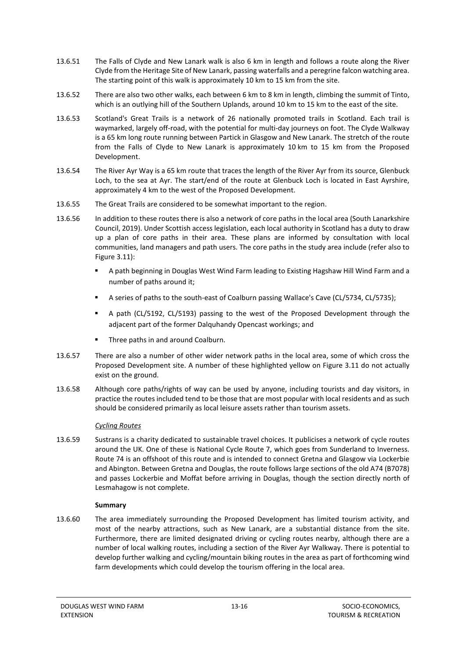- 13.6.51 The Falls of Clyde and New Lanark walk is also 6 km in length and follows a route along the River Clyde from the Heritage Site of New Lanark, passing waterfalls and a peregrine falcon watching area. The starting point of this walk is approximately 10 km to 15 km from the site.
- 13.6.52 There are also two other walks, each between 6 km to 8 km in length, climbing the summit of Tinto, which is an outlying hill of the Southern Uplands, around 10 km to 15 km to the east of the site.
- 13.6.53 Scotland's Great Trails is a network of 26 nationally promoted trails in Scotland. Each trail is waymarked, largely off-road, with the potential for multi-day journeys on foot. The Clyde Walkway is a 65 km long route running between Partick in Glasgow and New Lanark. The stretch of the route from the Falls of Clyde to New Lanark is approximately 10 km to 15 km from the Proposed Development.
- 13.6.54 The River Ayr Way is a 65 km route that traces the length of the River Ayr from its source, Glenbuck Loch, to the sea at Ayr. The start/end of the route at Glenbuck Loch is located in East Ayrshire, approximately 4 km to the west of the Proposed Development.
- 13.6.55 The Great Trails are considered to be somewhat important to the region.
- 13.6.56 In addition to these routes there is also a network of core paths in the local area (South Lanarkshire Council, 2019). Under Scottish access legislation, each local authority in Scotland has a duty to draw up a plan of core paths in their area. These plans are informed by consultation with local communities, land managers and path users. The core paths in the study area include (refer also to Figure 3.11):
	- A path beginning in Douglas West Wind Farm leading to Existing Hagshaw Hill Wind Farm and a number of paths around it;
	- A series of paths to the south-east of Coalburn passing Wallace's Cave (CL/5734, CL/5735);
	- A path (CL/5192, CL/5193) passing to the west of the Proposed Development through the adjacent part of the former Dalquhandy Opencast workings; and
	- **Three paths in and around Coalburn.**
- 13.6.57 There are also a number of other wider network paths in the local area, some of which cross the Proposed Development site. A number of these highlighted yellow on Figure 3.11 do not actually exist on the ground.
- 13.6.58 Although core paths/rights of way can be used by anyone, including tourists and day visitors, in practice the routes included tend to be those that are most popular with local residents and as such should be considered primarily as local leisure assets rather than tourism assets.

#### *Cycling Routes*

13.6.59 Sustrans is a charity dedicated to sustainable travel choices. It publicises a network of cycle routes around the UK. One of these is National Cycle Route 7, which goes from Sunderland to Inverness. Route 74 is an offshoot of this route and is intended to connect Gretna and Glasgow via Lockerbie and Abington. Between Gretna and Douglas, the route follows large sections of the old A74 (B7078) and passes Lockerbie and Moffat before arriving in Douglas, though the section directly north of Lesmahagow is not complete.

#### **Summary**

13.6.60 The area immediately surrounding the Proposed Development has limited tourism activity, and most of the nearby attractions, such as New Lanark, are a substantial distance from the site. Furthermore, there are limited designated driving or cycling routes nearby, although there are a number of local walking routes, including a section of the River Ayr Walkway. There is potential to develop further walking and cycling/mountain biking routes in the area as part of forthcoming wind farm developments which could develop the tourism offering in the local area.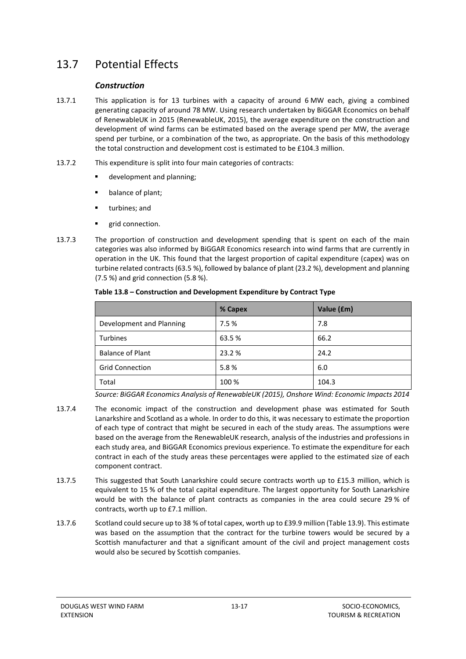# <span id="page-18-0"></span>13.7 Potential Effects

#### *Construction*

- 13.7.1 This application is for 13 turbines with a capacity of around 6 MW each, giving a combined generating capacity of around 78 MW. Using research undertaken by BiGGAR Economics on behalf of RenewableUK in 2015 (RenewableUK, 2015), the average expenditure on the construction and development of wind farms can be estimated based on the average spend per MW, the average spend per turbine, or a combination of the two, as appropriate. On the basis of this methodology the total construction and development cost is estimated to be £104.3 million.
- 13.7.2 This expenditure is split into four main categories of contracts:
	- **development and planning;**
	- **•** balance of plant;
	- **u** turbines; and
	- grid connection.
- 13.7.3 The proportion of construction and development spending that is spent on each of the main categories was also informed by BiGGAR Economics research into wind farms that are currently in operation in the UK. This found that the largest proportion of capital expenditure (capex) was on turbine related contracts (63.5 %), followed by balance of plant (23.2 %), development and planning (7.5 %) and grid connection (5.8 %).

|                          | % Capex | Value (£m) |
|--------------------------|---------|------------|
| Development and Planning | 7.5%    | 7.8        |
| <b>Turbines</b>          | 63.5%   | 66.2       |
| <b>Balance of Plant</b>  | 23.2 %  | 24.2       |
| <b>Grid Connection</b>   | 5.8%    | 6.0        |
| Total                    | 100 %   | 104.3      |

#### **Table 13.8 – Construction and Development Expenditure by Contract Type**

*Source: BiGGAR Economics Analysis of RenewableUK (2015), Onshore Wind: Economic Impacts 2014*

- 13.7.4 The economic impact of the construction and development phase was estimated for South Lanarkshire and Scotland as a whole. In order to do this, it was necessary to estimate the proportion of each type of contract that might be secured in each of the study areas. The assumptions were based on the average from the RenewableUK research, analysis of the industries and professions in each study area, and BiGGAR Economics previous experience. To estimate the expenditure for each contract in each of the study areas these percentages were applied to the estimated size of each component contract.
- 13.7.5 This suggested that South Lanarkshire could secure contracts worth up to £15.3 million, which is equivalent to 15 % of the total capital expenditure. The largest opportunity for South Lanarkshire would be with the balance of plant contracts as companies in the area could secure 29 % of contracts, worth up to £7.1 million.
- 13.7.6 Scotland could secure up to 38 % of total capex, worth up to £39.9 million [\(Table 13.9\)](#page-19-0). This estimate was based on the assumption that the contract for the turbine towers would be secured by a Scottish manufacturer and that a significant amount of the civil and project management costs would also be secured by Scottish companies.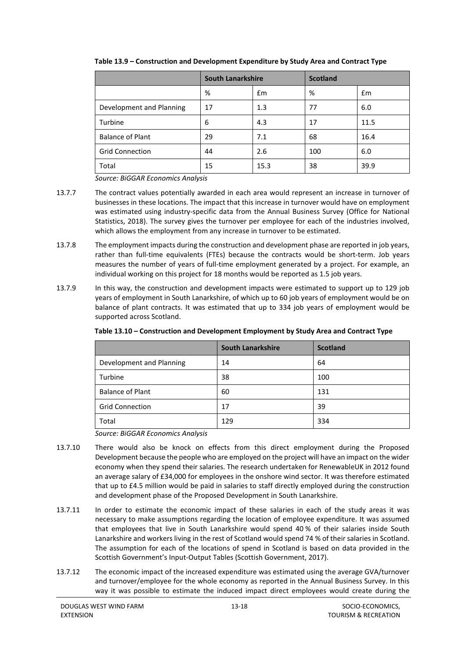|                          | <b>South Lanarkshire</b> |      | <b>Scotland</b> |      |
|--------------------------|--------------------------|------|-----------------|------|
|                          | %                        | Em   | %               | Em   |
| Development and Planning | 17                       | 1.3  | 77              | 6.0  |
| Turbine                  | 6                        | 4.3  | 17              | 11.5 |
| <b>Balance of Plant</b>  | 29                       | 7.1  | 68              | 16.4 |
| <b>Grid Connection</b>   | 44                       | 2.6  | 100             | 6.0  |
| Total                    | 15                       | 15.3 | 38              | 39.9 |

#### <span id="page-19-0"></span>**Table 13.9 – Construction and Development Expenditure by Study Area and Contract Type**

*Source: BiGGAR Economics Analysis*

- 13.7.7 The contract values potentially awarded in each area would represent an increase in turnover of businesses in these locations. The impact that this increase in turnover would have on employment was estimated using industry-specific data from the Annual Business Survey (Office for National Statistics, 2018). The survey gives the turnover per employee for each of the industries involved, which allows the employment from any increase in turnover to be estimated.
- 13.7.8 The employment impacts during the construction and development phase are reported in job years, rather than full-time equivalents (FTEs) because the contracts would be short-term. Job years measures the number of years of full-time employment generated by a project. For example, an individual working on this project for 18 months would be reported as 1.5 job years.
- 13.7.9 In this way, the construction and development impacts were estimated to support up to 129 job years of employment in South Lanarkshire, of which up to 60 job years of employment would be on balance of plant contracts. It was estimated that up to 334 job years of employment would be supported across Scotland.

|                          | <b>South Lanarkshire</b> | <b>Scotland</b> |  |
|--------------------------|--------------------------|-----------------|--|
| Development and Planning | 14                       | 64              |  |
| Turbine                  | 38                       | 100             |  |
| <b>Balance of Plant</b>  | 60                       | 131             |  |
| <b>Grid Connection</b>   | 17                       | 39              |  |
| Total                    | 129                      | 334             |  |

#### **Table 13.10 – Construction and Development Employment by Study Area and Contract Type**

*Source: BiGGAR Economics Analysis*

- 13.7.10 There would also be knock on effects from this direct employment during the Proposed Development because the people who are employed on the project will have an impact on the wider economy when they spend their salaries. The research undertaken for RenewableUK in 2012 found an average salary of £34,000 for employees in the onshore wind sector. It was therefore estimated that up to £4.5 million would be paid in salaries to staff directly employed during the construction and development phase of the Proposed Development in South Lanarkshire.
- 13.7.11 In order to estimate the economic impact of these salaries in each of the study areas it was necessary to make assumptions regarding the location of employee expenditure. It was assumed that employees that live in South Lanarkshire would spend 40 % of their salaries inside South Lanarkshire and workers living in the rest of Scotland would spend 74 % of their salaries in Scotland. The assumption for each of the locations of spend in Scotland is based on data provided in the Scottish Government's Input-Output Tables (Scottish Government, 2017).
- 13.7.12 The economic impact of the increased expenditure was estimated using the average GVA/turnover and turnover/employee for the whole economy as reported in the Annual Business Survey. In this way it was possible to estimate the induced impact direct employees would create during the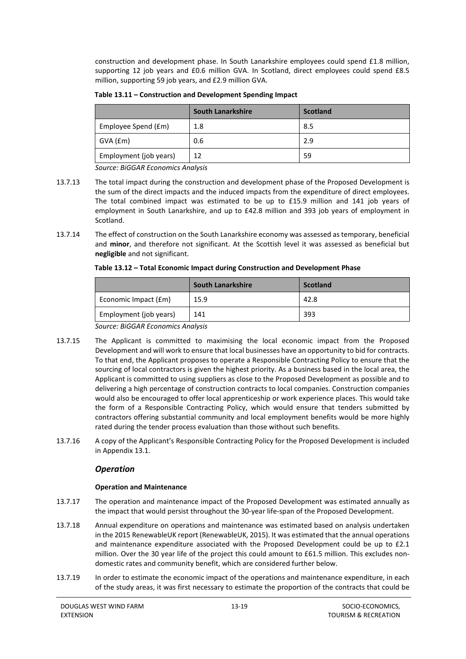construction and development phase. In South Lanarkshire employees could spend £1.8 million, supporting 12 job years and £0.6 million GVA. In Scotland, direct employees could spend £8.5 million, supporting 59 job years, and £2.9 million GVA.

**Table 13.11 – Construction and Development Spending Impact**

|                        | <b>South Lanarkshire</b> | Scotland |
|------------------------|--------------------------|----------|
| Employee Spend (£m)    | 1.8                      | 8.5      |
| GVA (£m)               | 0.6                      | 2.9      |
| Employment (job years) | 12                       | 59       |

*Source: BiGGAR Economics Analysis*

- 13.7.13 The total impact during the construction and development phase of the Proposed Development is the sum of the direct impacts and the induced impacts from the expenditure of direct employees. The total combined impact was estimated to be up to £15.9 million and 141 job years of employment in South Lanarkshire, and up to £42.8 million and 393 job years of employment in Scotland.
- 13.7.14 The effect of construction on the South Lanarkshire economy was assessed as temporary, beneficial and **minor**, and therefore not significant. At the Scottish level it was assessed as beneficial but **negligible** and not significant.

**Table 13.12 – Total Economic Impact during Construction and Development Phase**

|                        | <b>South Lanarkshire</b> | <b>Scotland</b> |
|------------------------|--------------------------|-----------------|
| Economic Impact (£m)   | 15.9                     | 42.8            |
| Employment (job years) | 141                      | 393             |

*Source: BiGGAR Economics Analysis*

- 13.7.15 The Applicant is committed to maximising the local economic impact from the Proposed Development and will work to ensure that local businesses have an opportunity to bid for contracts. To that end, the Applicant proposes to operate a Responsible Contracting Policy to ensure that the sourcing of local contractors is given the highest priority. As a business based in the local area, the Applicant is committed to using suppliers as close to the Proposed Development as possible and to delivering a high percentage of construction contracts to local companies. Construction companies would also be encouraged to offer local apprenticeship or work experience places. This would take the form of a Responsible Contracting Policy, which would ensure that tenders submitted by contractors offering substantial community and local employment benefits would be more highly rated during the tender process evaluation than those without such benefits.
- 13.7.16 A copy of the Applicant's Responsible Contracting Policy for the Proposed Development is included in Appendix 13.1.

### *Operation*

#### **Operation and Maintenance**

- 13.7.17 The operation and maintenance impact of the Proposed Development was estimated annually as the impact that would persist throughout the 30-year life-span of the Proposed Development.
- 13.7.18 Annual expenditure on operations and maintenance was estimated based on analysis undertaken in the 2015 RenewableUK report (RenewableUK, 2015). It was estimated that the annual operations and maintenance expenditure associated with the Proposed Development could be up to £2.1 million. Over the 30 year life of the project this could amount to £61.5 million. This excludes nondomestic rates and community benefit, which are considered further below.
- 13.7.19 In order to estimate the economic impact of the operations and maintenance expenditure, in each of the study areas, it was first necessary to estimate the proportion of the contracts that could be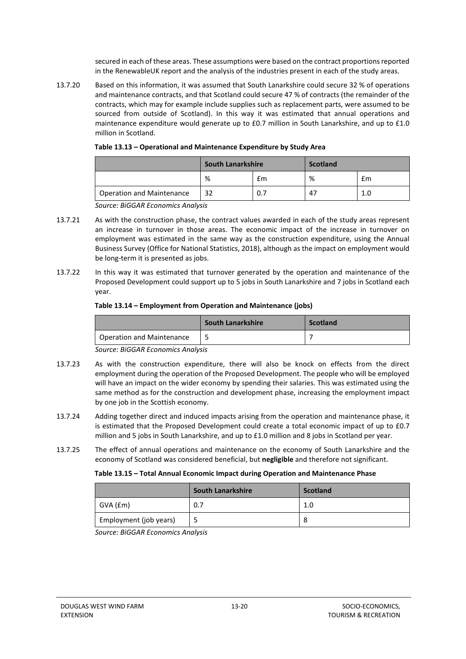secured in each of these areas. These assumptions were based on the contract proportions reported in the RenewableUK report and the analysis of the industries present in each of the study areas.

13.7.20 Based on this information, it was assumed that South Lanarkshire could secure 32 % of operations and maintenance contracts, and that Scotland could secure 47 % of contracts (the remainder of the contracts, which may for example include supplies such as replacement parts, were assumed to be sourced from outside of Scotland). In this way it was estimated that annual operations and maintenance expenditure would generate up to £0.7 million in South Lanarkshire, and up to £1.0 million in Scotland.

|                                  | <b>South Lanarkshire</b> |     | <b>Scotland</b> |     |
|----------------------------------|--------------------------|-----|-----------------|-----|
|                                  | %                        | £m  | %               | £m  |
| <b>Operation and Maintenance</b> | 32                       | 0.7 | 47              | 1.0 |

#### **Table 13.13 – Operational and Maintenance Expenditure by Study Area**

*Source: BiGGAR Economics Analysis*

- 13.7.21 As with the construction phase, the contract values awarded in each of the study areas represent an increase in turnover in those areas. The economic impact of the increase in turnover on employment was estimated in the same way as the construction expenditure, using the Annual Business Survey (Office for National Statistics, 2018), although as the impact on employment would be long-term it is presented as jobs.
- 13.7.22 In this way it was estimated that turnover generated by the operation and maintenance of the Proposed Development could support up to 5 jobs in South Lanarkshire and 7 jobs in Scotland each year.

#### **Table 13.14 – Employment from Operation and Maintenance (jobs)**

|                           | <b>South Lanarkshire</b> | Scotland |
|---------------------------|--------------------------|----------|
| Operation and Maintenance | ◡                        |          |

*Source: BiGGAR Economics Analysis*

- 13.7.23 As with the construction expenditure, there will also be knock on effects from the direct employment during the operation of the Proposed Development. The people who will be employed will have an impact on the wider economy by spending their salaries. This was estimated using the same method as for the construction and development phase, increasing the employment impact by one job in the Scottish economy.
- 13.7.24 Adding together direct and induced impacts arising from the operation and maintenance phase, it is estimated that the Proposed Development could create a total economic impact of up to £0.7 million and 5 jobs in South Lanarkshire, and up to £1.0 million and 8 jobs in Scotland per year.
- 13.7.25 The effect of annual operations and maintenance on the economy of South Lanarkshire and the economy of Scotland was considered beneficial, but **negligible** and therefore not significant.

#### **Table 13.15 – Total Annual Economic Impact during Operation and Maintenance Phase**

|                        | <b>South Lanarkshire</b> | <b>Scotland</b> |
|------------------------|--------------------------|-----------------|
| $GVA$ ( $Em$ )         | 0.7                      | 1.0             |
| Employment (job years) |                          | o<br>Ο          |

*Source: BiGGAR Economics Analysis*

#### DOUGLAS WEST WIND FARM EXTENSION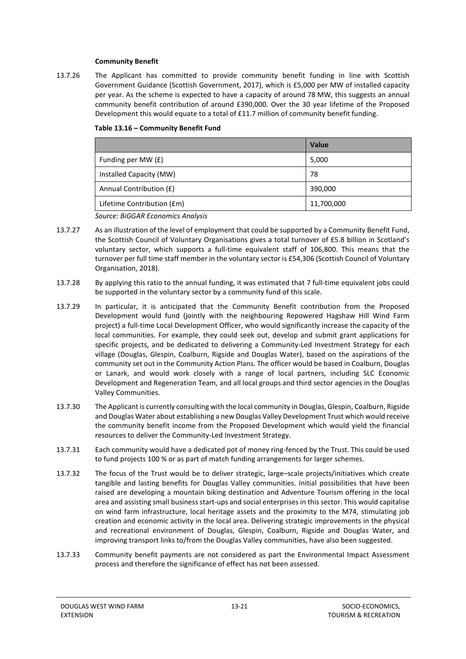#### **Community Benefit**

13.7.26 The Applicant has committed to provide community benefit funding in line with Scottish Government Guidance (Scottish Government, 2017), which is £5,000 per MW of installed capacity per year. As the scheme is expected to have a capacity of around 78 MW, this suggests an annual community benefit contribution of around £390,000. Over the 30 year lifetime of the Proposed Development this would equate to a total of £11.7 million of community benefit funding.

|                            | Value      |
|----------------------------|------------|
| Funding per MW (£)         | 5,000      |
| Installed Capacity (MW)    | 78         |
| Annual Contribution (£)    | 390,000    |
| Lifetime Contribution (£m) | 11,700,000 |

#### **Table 13.16 – Community Benefit Fund**

*Source: BiGGAR Economics Analysis*

- 13.7.27 As an illustration of the level of employment that could be supported by a Community Benefit Fund, the Scottish Council of Voluntary Organisations gives a total turnover of £5.8 billion in Scotland's voluntary sector, which supports a full-time equivalent staff of 106,800. This means that the turnover per full time staff member in the voluntary sector is £54,306 (Scottish Council of Voluntary Organisation, 2018).
- 13.7.28 By applying this ratio to the annual funding, it was estimated that 7 full-time equivalent jobs could be supported in the voluntary sector by a community fund of this scale.
- 13.7.29 In particular, it is anticipated that the Community Benefit contribution from the Proposed Development would fund (jointly with the neighbouring Repowered Hagshaw Hill Wind Farm project) a full-time Local Development Officer, who would significantly increase the capacity of the local communities. For example, they could seek out, develop and submit grant applications for specific projects, and be dedicated to delivering a Community-Led Investment Strategy for each village (Douglas, Glespin, Coalburn, Rigside and Douglas Water), based on the aspirations of the community set out in the Community Action Plans. The officer would be based in Coalburn, Douglas or Lanark, and would work closely with a range of local partners, including SLC Economic Development and Regeneration Team, and all local groups and third sector agencies in the Douglas Valley Communities.
- 13.7.30 The Applicant is currently consulting with the local community in Douglas, Glespin, Coalburn, Rigside and Douglas Water about establishing a new Douglas Valley Development Trust which would receive the community benefit income from the Proposed Development which would yield the financial resources to deliver the Community-Led Investment Strategy.
- 13.7.31 Each community would have a dedicated pot of money ring-fenced by the Trust. This could be used to fund projects 100 % or as part of match funding arrangements for larger schemes.
- 13.7.32 The focus of the Trust would be to deliver strategic, large–scale projects/initiatives which create tangible and lasting benefits for Douglas Valley communities. Initial possibilities that have been raised are developing a mountain biking destination and Adventure Tourism offering in the local area and assisting small business start-ups and social enterprises in this sector. This would capitalise on wind farm infrastructure, local heritage assets and the proximity to the M74, stimulating job creation and economic activity in the local area. Delivering strategic improvements in the physical and recreational environment of Douglas, Glespin, Coalburn, Rigside and Douglas Water, and improving transport links to/from the Douglas Valley communities, have also been suggested.
- 13.7.33 Community benefit payments are not considered as part the Environmental Impact Assessment process and therefore the significance of effect has not been assessed.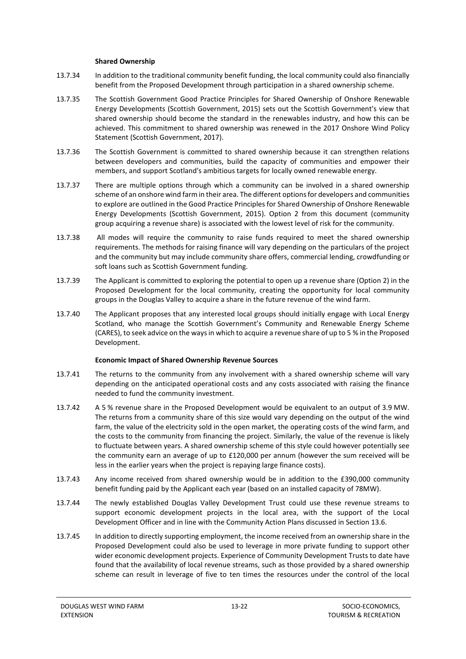#### **Shared Ownership**

- 13.7.34 In addition to the traditional community benefit funding, the local community could also financially benefit from the Proposed Development through participation in a shared ownership scheme.
- 13.7.35 The Scottish Government Good Practice Principles for Shared Ownership of Onshore Renewable Energy Developments (Scottish Government, 2015) sets out the Scottish Government's view that shared ownership should become the standard in the renewables industry, and how this can be achieved. This commitment to shared ownership was renewed in the 2017 Onshore Wind Policy Statement (Scottish Government, 2017).
- 13.7.36 The Scottish Government is committed to shared ownership because it can strengthen relations between developers and communities, build the capacity of communities and empower their members, and support Scotland's ambitious targets for locally owned renewable energy.
- 13.7.37 There are multiple options through which a community can be involved in a shared ownership scheme of an onshore wind farm in their area. The different options for developers and communities to explore are outlined in the Good Practice Principles for Shared Ownership of Onshore Renewable Energy Developments (Scottish Government, 2015). Option 2 from this document (community group acquiring a revenue share) is associated with the lowest level of risk for the community.
- 13.7.38 All modes will require the community to raise funds required to meet the shared ownership requirements. The methods for raising finance will vary depending on the particulars of the project and the community but may include community share offers, commercial lending, crowdfunding or soft loans such as Scottish Government funding.
- 13.7.39 The Applicant is committed to exploring the potential to open up a revenue share (Option 2) in the Proposed Development for the local community, creating the opportunity for local community groups in the Douglas Valley to acquire a share in the future revenue of the wind farm.
- 13.7.40 The Applicant proposes that any interested local groups should initially engage with Local Energy Scotland, who manage the Scottish Government's Community and Renewable Energy Scheme (CARES), to seek advice on the ways in which to acquire a revenue share of up to 5 % in the Proposed Development.

#### **Economic Impact of Shared Ownership Revenue Sources**

- 13.7.41 The returns to the community from any involvement with a shared ownership scheme will vary depending on the anticipated operational costs and any costs associated with raising the finance needed to fund the community investment.
- 13.7.42 A 5 % revenue share in the Proposed Development would be equivalent to an output of 3.9 MW. The returns from a community share of this size would vary depending on the output of the wind farm, the value of the electricity sold in the open market, the operating costs of the wind farm, and the costs to the community from financing the project. Similarly, the value of the revenue is likely to fluctuate between years. A shared ownership scheme of this style could however potentially see the community earn an average of up to £120,000 per annum (however the sum received will be less in the earlier years when the project is repaying large finance costs).
- 13.7.43 Any income received from shared ownership would be in addition to the £390,000 community benefit funding paid by the Applicant each year (based on an installed capacity of 78MW).
- 13.7.44 The newly established Douglas Valley Development Trust could use these revenue streams to support economic development projects in the local area, with the support of the Local Development Officer and in line with the Community Action Plans discussed in Sectio[n 13.6.](#page-8-0)
- 13.7.45 In addition to directly supporting employment, the income received from an ownership share in the Proposed Development could also be used to leverage in more private funding to support other wider economic development projects. Experience of Community Development Trusts to date have found that the availability of local revenue streams, such as those provided by a shared ownership scheme can result in leverage of five to ten times the resources under the control of the local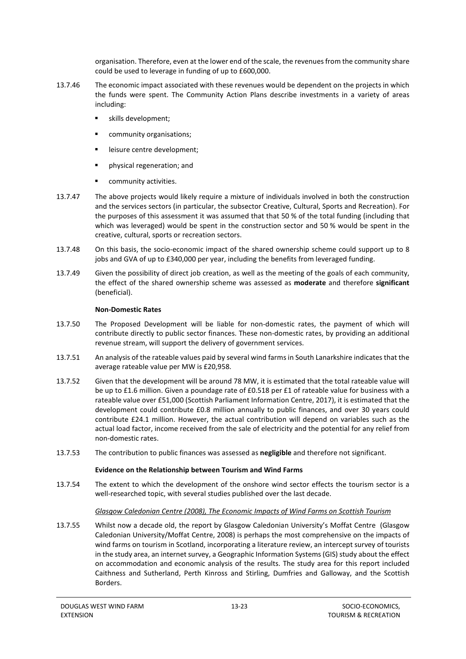organisation. Therefore, even at the lower end of the scale, the revenues from the community share could be used to leverage in funding of up to £600,000.

- 13.7.46 The economic impact associated with these revenues would be dependent on the projects in which the funds were spent. The Community Action Plans describe investments in a variety of areas including:
	- **skills development:**
	- **COMMUNITY OF AUTOR COMMUNIS**
	- leisure centre development;
	- physical regeneration; and
	- **COMMUNITY activities.**
- 13.7.47 The above projects would likely require a mixture of individuals involved in both the construction and the services sectors (in particular, the subsector Creative, Cultural, Sports and Recreation). For the purposes of this assessment it was assumed that that 50 % of the total funding (including that which was leveraged) would be spent in the construction sector and 50 % would be spent in the creative, cultural, sports or recreation sectors.
- 13.7.48 On this basis, the socio-economic impact of the shared ownership scheme could support up to 8 jobs and GVA of up to £340,000 per year, including the benefits from leveraged funding.
- 13.7.49 Given the possibility of direct job creation, as well as the meeting of the goals of each community, the effect of the shared ownership scheme was assessed as **moderate** and therefore **significant** (beneficial).

#### **Non-Domestic Rates**

- 13.7.50 The Proposed Development will be liable for non-domestic rates, the payment of which will contribute directly to public sector finances. These non-domestic rates, by providing an additional revenue stream, will support the delivery of government services.
- 13.7.51 An analysis of the rateable values paid by several wind farms in South Lanarkshire indicates that the average rateable value per MW is £20,958.
- 13.7.52 Given that the development will be around 78 MW, it is estimated that the total rateable value will be up to £1.6 million. Given a poundage rate of £0.518 per £1 of rateable value for business with a rateable value over £51,000 (Scottish Parliament Information Centre, 2017), it is estimated that the development could contribute £0.8 million annually to public finances, and over 30 years could contribute £24.1 million. However, the actual contribution will depend on variables such as the actual load factor, income received from the sale of electricity and the potential for any relief from non-domestic rates.
- 13.7.53 The contribution to public finances was assessed as **negligible** and therefore not significant.

#### **Evidence on the Relationship between Tourism and Wind Farms**

13.7.54 The extent to which the development of the onshore wind sector effects the tourism sector is a well-researched topic, with several studies published over the last decade.

#### *Glasgow Caledonian Centre (2008), The Economic Impacts of Wind Farms on Scottish Tourism*

13.7.55 Whilst now a decade old, the report by Glasgow Caledonian University's Moffat Centre (Glasgow Caledonian University/Moffat Centre, 2008) is perhaps the most comprehensive on the impacts of wind farms on tourism in Scotland, incorporating a literature review, an intercept survey of tourists in the study area, an internet survey, a Geographic Information Systems (GIS) study about the effect on accommodation and economic analysis of the results. The study area for this report included Caithness and Sutherland, Perth Kinross and Stirling, Dumfries and Galloway, and the Scottish Borders.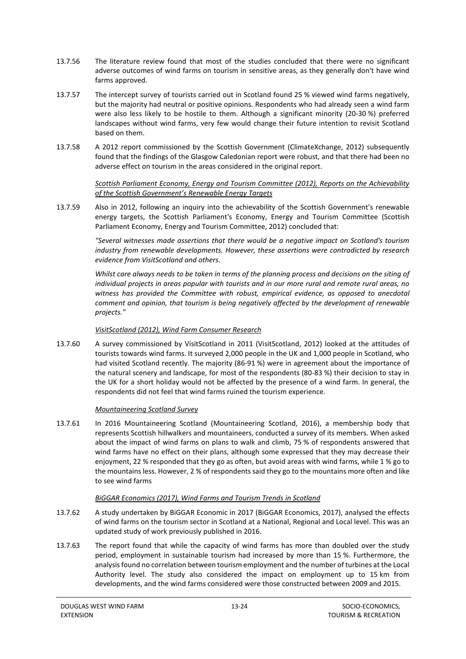- 13.7.56 The literature review found that most of the studies concluded that there were no significant adverse outcomes of wind farms on tourism in sensitive areas, as they generally don't have wind farms approved.
- 13.7.57 The intercept survey of tourists carried out in Scotland found 25 % viewed wind farms negatively, but the majority had neutral or positive opinions. Respondents who had already seen a wind farm were also less likely to be hostile to them. Although a significant minority (20-30 %) preferred landscapes without wind farms, very few would change their future intention to revisit Scotland based on them.
- 13.7.58 A 2012 report commissioned by the Scottish Government (ClimateXchange, 2012) subsequently found that the findings of the Glasgow Caledonian report were robust, and that there had been no adverse effect on tourism in the areas considered in the original report.

#### *Scottish Parliament Economy, Energy and Tourism Committee (2012), Reports on the Achievability of the Scottish Government's Renewable Energy Targets*

13.7.59 Also in 2012, following an inquiry into the achievability of the Scottish Government's renewable energy targets, the Scottish Parliament's Economy, Energy and Tourism Committee (Scottish Parliament Economy, Energy and Tourism Committee, 2012) concluded that:

> *"Several witnesses made assertions that there would be a negative impact on Scotland's tourism industry from renewable developments. However, these assertions were contradicted by research evidence from VisitScotland and others.*

> *Whilst care always needs to be taken in terms of the planning process and decisions on the siting of individual projects in areas popular with tourists and in our more rural and remote rural areas, no witness has provided the Committee with robust, empirical evidence, as opposed to anecdotal comment and opinion, that tourism is being negatively affected by the development of renewable projects."*

#### *VisitScotland (2012), Wind Farm Consumer Research*

13.7.60 A survey commissioned by VisitScotland in 2011 (VisitScotland, 2012) looked at the attitudes of tourists towards wind farms. It surveyed 2,000 people in the UK and 1,000 people in Scotland, who had visited Scotland recently. The majority (86-91 %) were in agreement about the importance of the natural scenery and landscape, for most of the respondents (80-83 %) their decision to stay in the UK for a short holiday would not be affected by the presence of a wind farm. In general, the respondents did not feel that wind farms ruined the tourism experience.

#### *Mountaineering Scotland Survey*

13.7.61 In 2016 Mountaineering Scotland (Mountaineering Scotland, 2016), a membership body that represents Scottish hillwalkers and mountaineers, conducted a survey of its members. When asked about the impact of wind farms on plans to walk and climb, 75 % of respondents answered that wind farms have no effect on their plans, although some expressed that they may decrease their enjoyment, 22 % responded that they go as often, but avoid areas with wind farms, while 1 % go to the mountains less. However, 2 % of respondents said they go to the mountains more often and like to see wind farms

#### *BiGGAR Economics (2017), Wind Farms and Tourism Trends in Scotland*

- 13.7.62 A study undertaken by BiGGAR Economic in 2017 (BiGGAR Economics, 2017), analysed the effects of wind farms on the tourism sector in Scotland at a National, Regional and Local level. This was an updated study of work previously published in 2016.
- 13.7.63 The report found that while the capacity of wind farms has more than doubled over the study period, employment in sustainable tourism had increased by more than 15 %. Furthermore, the analysis found no correlation between tourism employment and the number of turbines at the Local Authority level. The study also considered the impact on employment up to 15 km from developments, and the wind farms considered were those constructed between 2009 and 2015.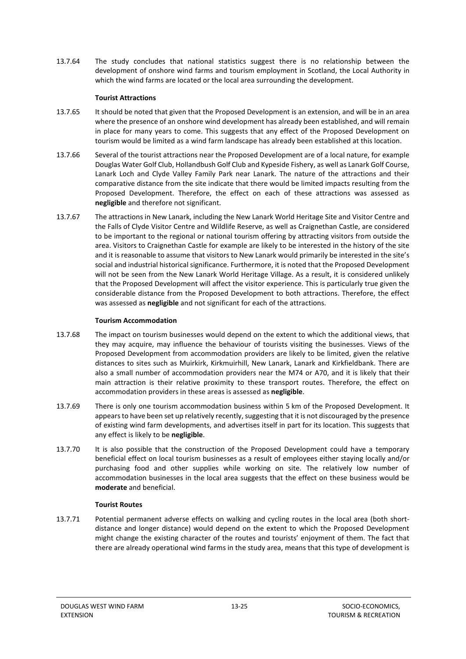13.7.64 The study concludes that national statistics suggest there is no relationship between the development of onshore wind farms and tourism employment in Scotland, the Local Authority in which the wind farms are located or the local area surrounding the development.

#### **Tourist Attractions**

- 13.7.65 It should be noted that given that the Proposed Development is an extension, and will be in an area where the presence of an onshore wind development has already been established, and will remain in place for many years to come. This suggests that any effect of the Proposed Development on tourism would be limited as a wind farm landscape has already been established at this location.
- 13.7.66 Several of the tourist attractions near the Proposed Development are of a local nature, for example Douglas Water Golf Club, Hollandbush Golf Club and Kypeside Fishery, as well as Lanark Golf Course, Lanark Loch and Clyde Valley Family Park near Lanark. The nature of the attractions and their comparative distance from the site indicate that there would be limited impacts resulting from the Proposed Development. Therefore, the effect on each of these attractions was assessed as **negligible** and therefore not significant.
- 13.7.67 The attractions in New Lanark, including the New Lanark World Heritage Site and Visitor Centre and the Falls of Clyde Visitor Centre and Wildlife Reserve, as well as Craignethan Castle, are considered to be important to the regional or national tourism offering by attracting visitors from outside the area. Visitors to Craignethan Castle for example are likely to be interested in the history of the site and it is reasonable to assume that visitors to New Lanark would primarily be interested in the site's social and industrial historical significance. Furthermore, it is noted that the Proposed Development will not be seen from the New Lanark World Heritage Village. As a result, it is considered unlikely that the Proposed Development will affect the visitor experience. This is particularly true given the considerable distance from the Proposed Development to both attractions. Therefore, the effect was assessed as **negligible** and not significant for each of the attractions.

#### **Tourism Accommodation**

- 13.7.68 The impact on tourism businesses would depend on the extent to which the additional views, that they may acquire, may influence the behaviour of tourists visiting the businesses. Views of the Proposed Development from accommodation providers are likely to be limited, given the relative distances to sites such as Muirkirk, Kirkmuirhill, New Lanark, Lanark and Kirkfieldbank. There are also a small number of accommodation providers near the M74 or A70, and it is likely that their main attraction is their relative proximity to these transport routes. Therefore, the effect on accommodation providers in these areas is assessed as **negligible**.
- 13.7.69 There is only one tourism accommodation business within 5 km of the Proposed Development. It appears to have been set up relatively recently, suggesting that it is not discouraged by the presence of existing wind farm developments, and advertises itself in part for its location. This suggests that any effect is likely to be **negligible**.
- 13.7.70 It is also possible that the construction of the Proposed Development could have a temporary beneficial effect on local tourism businesses as a result of employees either staying locally and/or purchasing food and other supplies while working on site. The relatively low number of accommodation businesses in the local area suggests that the effect on these business would be **moderate** and beneficial.

#### **Tourist Routes**

13.7.71 Potential permanent adverse effects on walking and cycling routes in the local area (both shortdistance and longer distance) would depend on the extent to which the Proposed Development might change the existing character of the routes and tourists' enjoyment of them. The fact that there are already operational wind farms in the study area, means that this type of development is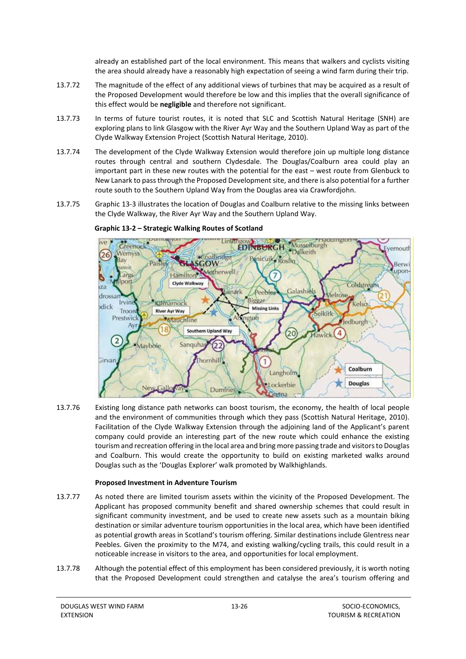already an established part of the local environment. This means that walkers and cyclists visiting the area should already have a reasonably high expectation of seeing a wind farm during their trip.

- 13.7.72 The magnitude of the effect of any additional views of turbines that may be acquired as a result of the Proposed Development would therefore be low and this implies that the overall significance of this effect would be **negligible** and therefore not significant.
- 13.7.73 In terms of future tourist routes, it is noted that SLC and Scottish Natural Heritage (SNH) are exploring plans to link Glasgow with the River Ayr Way and the Southern Upland Way as part of the Clyde Walkway Extension Project (Scottish Natural Heritage, 2010).
- 13.7.74 The development of the Clyde Walkway Extension would therefore join up multiple long distance routes through central and southern Clydesdale. The Douglas/Coalburn area could play an important part in these new routes with the potential for the east – west route from Glenbuck to New Lanark to pass through the Proposed Development site, and there is also potential for a further route south to the Southern Upland Way from the Douglas area via Crawfordjohn.
- 13.7.75 Graphic 13-3 illustrates the location of Douglas and Coalburn relative to the missing links between the Clyde Walkway, the River Ayr Way and the Southern Upland Way.



**Graphic 13-2 – Strategic Walking Routes of Scotland**

13.7.76 Existing long distance path networks can boost tourism, the economy, the health of local people and the environment of communities through which they pass (Scottish Natural Heritage, 2010). Facilitation of the Clyde Walkway Extension through the adjoining land of the Applicant's parent company could provide an interesting part of the new route which could enhance the existing tourism and recreation offering in the local area and bring more passing trade and visitors to Douglas and Coalburn. This would create the opportunity to build on existing marketed walks around Douglas such as the 'Douglas Explorer' walk promoted by Walkhighlands.

#### **Proposed Investment in Adventure Tourism**

- 13.7.77 As noted there are limited tourism assets within the vicinity of the Proposed Development. The Applicant has proposed community benefit and shared ownership schemes that could result in significant community investment, and be used to create new assets such as a mountain biking destination or similar adventure tourism opportunities in the local area, which have been identified as potential growth areas in Scotland's tourism offering. Similar destinations include Glentress near Peebles. Given the proximity to the M74, and existing walking/cycling trails, this could result in a noticeable increase in visitors to the area, and opportunities for local employment.
- 13.7.78 Although the potential effect of this employment has been considered previously, it is worth noting that the Proposed Development could strengthen and catalyse the area's tourism offering and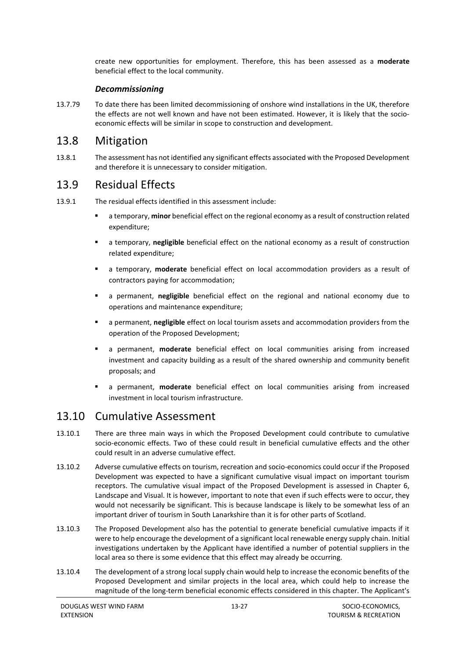create new opportunities for employment. Therefore, this has been assessed as a **moderate** beneficial effect to the local community.

### *Decommissioning*

13.7.79 To date there has been limited decommissioning of onshore wind installations in the UK, therefore the effects are not well known and have not been estimated. However, it is likely that the socioeconomic effects will be similar in scope to construction and development.

### <span id="page-28-0"></span>13.8 Mitigation

13.8.1 The assessment has not identified any significant effects associated with the Proposed Development and therefore it is unnecessary to consider mitigation.

### <span id="page-28-1"></span>13.9 Residual Effects

- 13.9.1 The residual effects identified in this assessment include:
	- a temporary, **minor** beneficial effect on the regional economy as a result of construction related expenditure;
	- a temporary, **negligible** beneficial effect on the national economy as a result of construction related expenditure;
	- a temporary, **moderate** beneficial effect on local accommodation providers as a result of contractors paying for accommodation;
	- a permanent, **negligible** beneficial effect on the regional and national economy due to operations and maintenance expenditure;
	- a permanent, **negligible** effect on local tourism assets and accommodation providers from the operation of the Proposed Development;
	- a permanent, **moderate** beneficial effect on local communities arising from increased investment and capacity building as a result of the shared ownership and community benefit proposals; and
	- a permanent, **moderate** beneficial effect on local communities arising from increased investment in local tourism infrastructure.

# <span id="page-28-2"></span>13.10 Cumulative Assessment

- 13.10.1 There are three main ways in which the Proposed Development could contribute to cumulative socio-economic effects. Two of these could result in beneficial cumulative effects and the other could result in an adverse cumulative effect.
- 13.10.2 Adverse cumulative effects on tourism, recreation and socio-economics could occur if the Proposed Development was expected to have a significant cumulative visual impact on important tourism receptors. The cumulative visual impact of the Proposed Development is assessed in Chapter 6, Landscape and Visual. It is however, important to note that even if such effects were to occur, they would not necessarily be significant. This is because landscape is likely to be somewhat less of an important driver of tourism in South Lanarkshire than it is for other parts of Scotland.
- 13.10.3 The Proposed Development also has the potential to generate beneficial cumulative impacts if it were to help encourage the development of a significant local renewable energy supply chain. Initial investigations undertaken by the Applicant have identified a number of potential suppliers in the local area so there is some evidence that this effect may already be occurring.
- 13.10.4 The development of a strong local supply chain would help to increase the economic benefits of the Proposed Development and similar projects in the local area, which could help to increase the magnitude of the long-term beneficial economic effects considered in this chapter. The Applicant's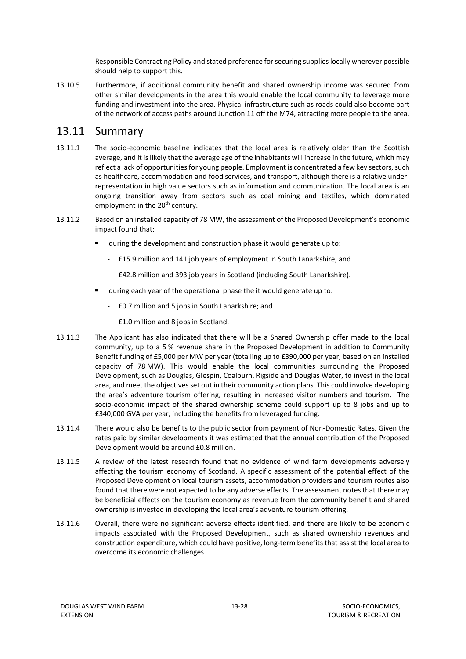Responsible Contracting Policy and stated preference for securing supplies locally wherever possible should help to support this.

13.10.5 Furthermore, if additional community benefit and shared ownership income was secured from other similar developments in the area this would enable the local community to leverage more funding and investment into the area. Physical infrastructure such as roads could also become part of the network of access paths around Junction 11 off the M74, attracting more people to the area.

### <span id="page-29-0"></span>13.11 Summary

- 13.11.1 The socio-economic baseline indicates that the local area is relatively older than the Scottish average, and it is likely that the average age of the inhabitants will increase in the future, which may reflect a lack of opportunities for young people. Employment is concentrated a few key sectors, such as healthcare, accommodation and food services, and transport, although there is a relative underrepresentation in high value sectors such as information and communication. The local area is an ongoing transition away from sectors such as coal mining and textiles, which dominated employment in the 20<sup>th</sup> century.
- 13.11.2 Based on an installed capacity of 78 MW, the assessment of the Proposed Development's economic impact found that:
	- during the development and construction phase it would generate up to:
		- £15.9 million and 141 job years of employment in South Lanarkshire; and
		- £42.8 million and 393 job years in Scotland (including South Lanarkshire).
	- during each year of the operational phase the it would generate up to:
		- £0.7 million and 5 jobs in South Lanarkshire; and
		- £1.0 million and 8 jobs in Scotland.
- 13.11.3 The Applicant has also indicated that there will be a Shared Ownership offer made to the local community, up to a 5 % revenue share in the Proposed Development in addition to Community Benefit funding of £5,000 per MW per year (totalling up to £390,000 per year, based on an installed capacity of 78 MW). This would enable the local communities surrounding the Proposed Development, such as Douglas, Glespin, Coalburn, Rigside and Douglas Water, to invest in the local area, and meet the objectives set out in their community action plans. This could involve developing the area's adventure tourism offering, resulting in increased visitor numbers and tourism. The socio-economic impact of the shared ownership scheme could support up to 8 jobs and up to £340,000 GVA per year, including the benefits from leveraged funding.
- 13.11.4 There would also be benefits to the public sector from payment of Non-Domestic Rates. Given the rates paid by similar developments it was estimated that the annual contribution of the Proposed Development would be around £0.8 million.
- 13.11.5 A review of the latest research found that no evidence of wind farm developments adversely affecting the tourism economy of Scotland. A specific assessment of the potential effect of the Proposed Development on local tourism assets, accommodation providers and tourism routes also found that there were not expected to be any adverse effects. The assessment notes that there may be beneficial effects on the tourism economy as revenue from the community benefit and shared ownership is invested in developing the local area's adventure tourism offering.
- 13.11.6 Overall, there were no significant adverse effects identified, and there are likely to be economic impacts associated with the Proposed Development, such as shared ownership revenues and construction expenditure, which could have positive, long-term benefits that assist the local area to overcome its economic challenges.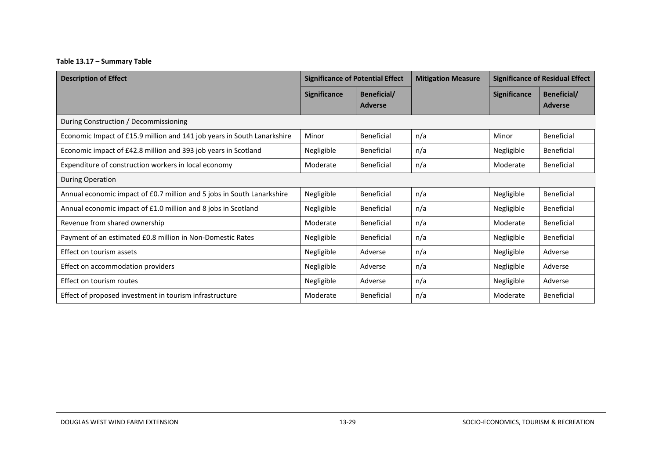#### **Table 13.17 – Summary Table**

| <b>Description of Effect</b>                                            | <b>Significance of Potential Effect</b> |                    | <b>Mitigation Measure</b> | <b>Significance of Residual Effect</b> |                   |
|-------------------------------------------------------------------------|-----------------------------------------|--------------------|---------------------------|----------------------------------------|-------------------|
|                                                                         | <b>Significance</b>                     | <b>Beneficial/</b> |                           | <b>Significance</b>                    | Beneficial/       |
|                                                                         |                                         | <b>Adverse</b>     |                           |                                        | <b>Adverse</b>    |
| During Construction / Decommissioning                                   |                                         |                    |                           |                                        |                   |
| Economic Impact of £15.9 million and 141 job years in South Lanarkshire | Minor                                   | <b>Beneficial</b>  | n/a                       | Minor                                  | <b>Beneficial</b> |
| Economic impact of £42.8 million and 393 job years in Scotland          | Negligible                              | <b>Beneficial</b>  | n/a                       | Negligible                             | <b>Beneficial</b> |
| Expenditure of construction workers in local economy                    | Moderate                                | Beneficial         | n/a                       | Moderate                               | Beneficial        |
| <b>During Operation</b>                                                 |                                         |                    |                           |                                        |                   |
| Annual economic impact of £0.7 million and 5 jobs in South Lanarkshire  | Negligible                              | Beneficial         | n/a                       | Negligible                             | Beneficial        |
| Annual economic impact of £1.0 million and 8 jobs in Scotland           | Negligible                              | Beneficial         | n/a                       | Negligible                             | Beneficial        |
| Revenue from shared ownership                                           | Moderate                                | Beneficial         | n/a                       | Moderate                               | Beneficial        |
| Payment of an estimated £0.8 million in Non-Domestic Rates              | Negligible                              | <b>Beneficial</b>  | n/a                       | Negligible                             | Beneficial        |
| Effect on tourism assets                                                | Negligible                              | Adverse            | n/a                       | Negligible                             | Adverse           |
| Effect on accommodation providers                                       | Negligible                              | Adverse            | n/a                       | Negligible                             | Adverse           |
| Effect on tourism routes                                                | Negligible                              | Adverse            | n/a                       | Negligible                             | Adverse           |
| Effect of proposed investment in tourism infrastructure                 | Moderate                                | <b>Beneficial</b>  | n/a                       | Moderate                               | Beneficial        |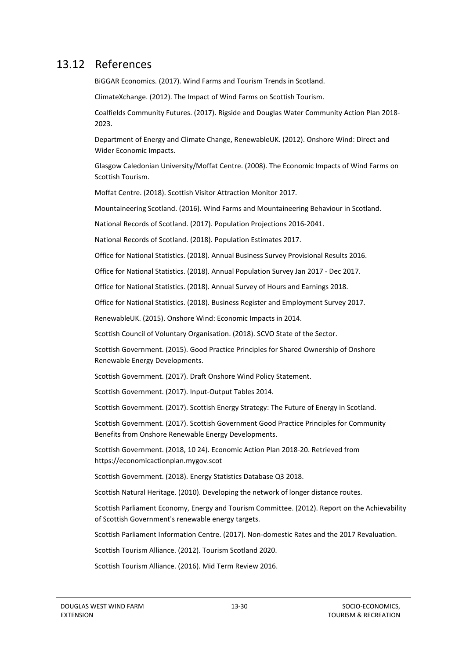### <span id="page-31-0"></span>13.12 References

BiGGAR Economics. (2017). Wind Farms and Tourism Trends in Scotland.

ClimateXchange. (2012). The Impact of Wind Farms on Scottish Tourism.

Coalfields Community Futures. (2017). Rigside and Douglas Water Community Action Plan 2018- 2023.

Department of Energy and Climate Change, RenewableUK. (2012). Onshore Wind: Direct and Wider Economic Impacts.

Glasgow Caledonian University/Moffat Centre. (2008). The Economic Impacts of Wind Farms on Scottish Tourism.

Moffat Centre. (2018). Scottish Visitor Attraction Monitor 2017.

Mountaineering Scotland. (2016). Wind Farms and Mountaineering Behaviour in Scotland.

National Records of Scotland. (2017). Population Projections 2016-2041.

National Records of Scotland. (2018). Population Estimates 2017.

Office for National Statistics. (2018). Annual Business Survey Provisional Results 2016.

Office for National Statistics. (2018). Annual Population Survey Jan 2017 - Dec 2017.

Office for National Statistics. (2018). Annual Survey of Hours and Earnings 2018.

Office for National Statistics. (2018). Business Register and Employment Survey 2017.

RenewableUK. (2015). Onshore Wind: Economic Impacts in 2014.

Scottish Council of Voluntary Organisation. (2018). SCVO State of the Sector.

Scottish Government. (2015). Good Practice Principles for Shared Ownership of Onshore Renewable Energy Developments.

Scottish Government. (2017). Draft Onshore Wind Policy Statement.

Scottish Government. (2017). Input-Output Tables 2014.

Scottish Government. (2017). Scottish Energy Strategy: The Future of Energy in Scotland.

Scottish Government. (2017). Scottish Government Good Practice Principles for Community Benefits from Onshore Renewable Energy Developments.

Scottish Government. (2018, 10 24). Economic Action Plan 2018-20. Retrieved from https://economicactionplan.mygov.scot

Scottish Government. (2018). Energy Statistics Database Q3 2018.

Scottish Natural Heritage. (2010). Developing the network of longer distance routes.

Scottish Parliament Economy, Energy and Tourism Committee. (2012). Report on the Achievability of Scottish Government's renewable energy targets.

Scottish Parliament Information Centre. (2017). Non-domestic Rates and the 2017 Revaluation.

Scottish Tourism Alliance. (2012). Tourism Scotland 2020.

Scottish Tourism Alliance. (2016). Mid Term Review 2016.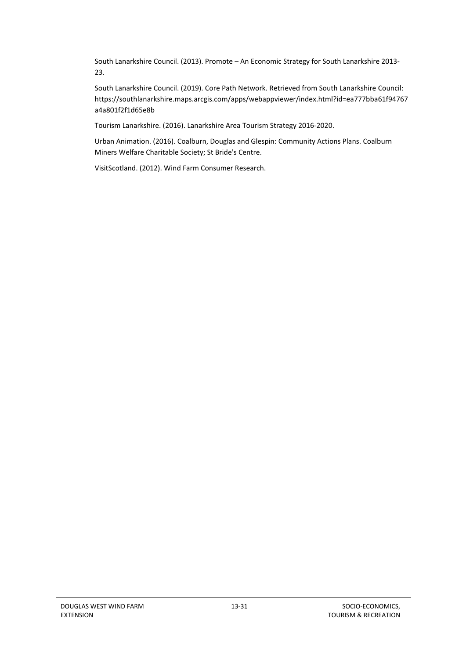South Lanarkshire Council. (2013). Promote – An Economic Strategy for South Lanarkshire 2013- 23.

South Lanarkshire Council. (2019). Core Path Network. Retrieved from South Lanarkshire Council: https://southlanarkshire.maps.arcgis.com/apps/webappviewer/index.html?id=ea777bba61f94767 a4a801f2f1d65e8b

Tourism Lanarkshire. (2016). Lanarkshire Area Tourism Strategy 2016-2020.

Urban Animation. (2016). Coalburn, Douglas and Glespin: Community Actions Plans. Coalburn Miners Welfare Charitable Society; St Bride's Centre.

VisitScotland. (2012). Wind Farm Consumer Research.